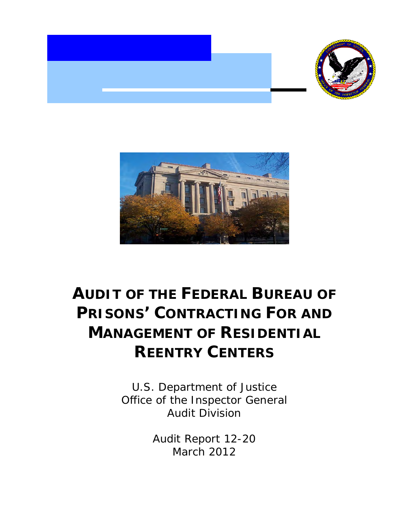



# **AUDIT OF THE FEDERAL BUREAU OF PRISONS' CONTRACTING FOR AND MANAGEMENT OF RESIDENTIAL REENTRY CENTERS**

U.S. Department of Justice Office of the Inspector General Audit Division

> Audit Report 12-20 March 2012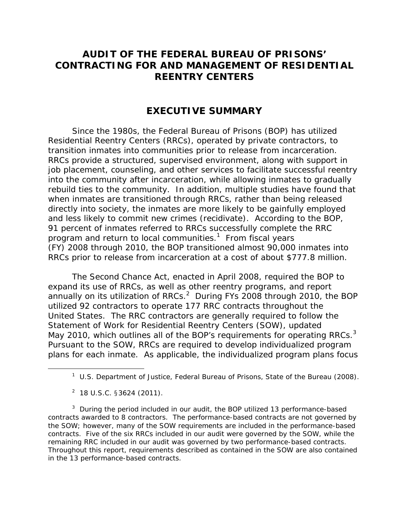# **AUDIT OF THE FEDERAL BUREAU OF PRISONS' CONTRACTING FOR AND MANAGEMENT OF RESIDENTIAL REENTRY CENTERS**

# **EXECUTIVE SUMMARY**

Since the 1980s, the Federal Bureau of Prisons (BOP) has utilized Residential Reentry Centers (RRCs), operated by private contractors, to transition inmates into communities prior to release from incarceration. RRCs provide a structured, supervised environment, along with support in job placement, counseling, and other services to facilitate successful reentry into the community after incarceration, while allowing inmates to gradually rebuild ties to the community. In addition, multiple studies have found that when inmates are transitioned through RRCs, rather than being released directly into society, the inmates are more likely to be gainfully employed and less likely to commit new crimes (recidivate). According to the BOP, 91 percent of inmates referred to RRCs successfully complete the RRC program and return to local communities.<sup>1</sup> From fiscal years (FY) 2008 through 2010, the BOP transitioned almost 90,000 inmates into RRCs prior to release from incarceration at a cost of about \$777.8 million.

May 2010, which outlines all of the BOP's requirements for operating RRCs. $3$ The Second Chance Act, enacted in April 2008, required the BOP to expand its use of RRCs, as well as other reentry programs, and report annually on its utilization of RRCs.<sup>2</sup> During FYs 2008 through 2010, the BOP utilized 92 contractors to operate 177 RRC contracts throughout the United States. The RRC contractors are generally required to follow the Statement of Work for Residential Reentry Centers (SOW), updated Pursuant to the SOW, RRCs are required to develop individualized program plans for each inmate. As applicable, the individualized program plans focus

-

 contracts. Five of the six RRCs included in our audit were governed by the SOW, while the  $3$  During the period included in our audit, the BOP utilized 13 performance-based contracts awarded to 8 contractors. The performance-based contracts are not governed by the SOW; however, many of the SOW requirements are included in the performance-based remaining RRC included in our audit was governed by two performance-based contracts. Throughout this report, requirements described as contained in the SOW are also contained in the 13 performance-based contracts.

<sup>1</sup> U.S. Department of Justice, Federal Bureau of Prisons, *State of the Bureau* (2008).

 $2$  18 U.S.C. §3624 (2011).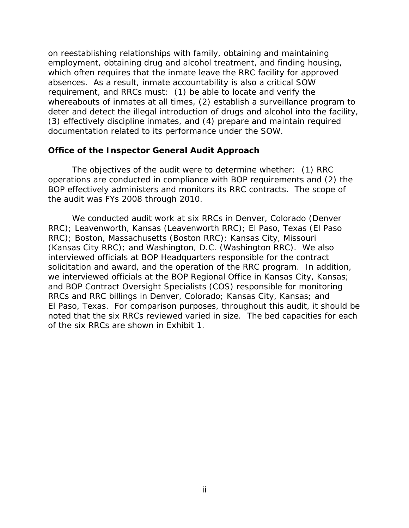on reestablishing relationships with family, obtaining and maintaining employment, obtaining drug and alcohol treatment, and finding housing, which often requires that the inmate leave the RRC facility for approved absences. As a result, inmate accountability is also a critical SOW requirement, and RRCs must: (1) be able to locate and verify the whereabouts of inmates at all times, (2) establish a surveillance program to deter and detect the illegal introduction of drugs and alcohol into the facility, (3) effectively discipline inmates, and (4) prepare and maintain required documentation related to its performance under the SOW.

#### **Office of the Inspector General Audit Approach**

The objectives of the audit were to determine whether: (1) RRC operations are conducted in compliance with BOP requirements and (2) the BOP effectively administers and monitors its RRC contracts. The scope of the audit was FYs 2008 through 2010.

We conducted audit work at six RRCs in Denver, Colorado (Denver RRC); Leavenworth, Kansas (Leavenworth RRC); El Paso, Texas (El Paso RRC); Boston, Massachusetts (Boston RRC); Kansas City, Missouri (Kansas City RRC); and Washington, D.C. (Washington RRC). We also interviewed officials at BOP Headquarters responsible for the contract solicitation and award, and the operation of the RRC program. In addition, we interviewed officials at the BOP Regional Office in Kansas City, Kansas; and BOP Contract Oversight Specialists (COS) responsible for monitoring RRCs and RRC billings in Denver, Colorado; Kansas City, Kansas; and El Paso, Texas. For comparison purposes, throughout this audit, it should be noted that the six RRCs reviewed varied in size. The bed capacities for each of the six RRCs are shown in Exhibit 1.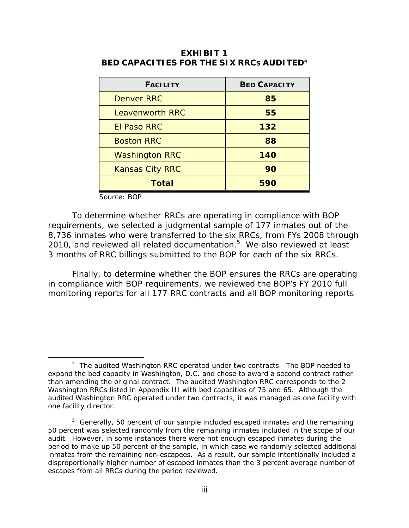| <b>FACILITY</b>        | <b>BED CAPACITY</b> |  |
|------------------------|---------------------|--|
| <b>Denver RRC</b>      | 85                  |  |
| <b>Leavenworth RRC</b> | 55                  |  |
| <b>El Paso RRC</b>     | 132                 |  |
| <b>Boston RRC</b>      | 88                  |  |
| <b>Washington RRC</b>  | 140                 |  |
| <b>Kansas City RRC</b> | 90                  |  |
| Total                  | 590                 |  |

 **BED CAPACITIES FOR THE SIX RRCS AUDITED4 EXHIBIT 1** 

Source: BOP

 $\overline{a}$ 

To determine whether RRCs are operating in compliance with BOP requirements, we selected a judgmental sample of 177 inmates out of the 8,736 inmates who were transferred to the six RRCs, from FYs 2008 through 2010, and reviewed all related documentation.<sup>5</sup> We also reviewed at least 3 months of RRC billings submitted to the BOP for each of the six RRCs.

Finally, to determine whether the BOP ensures the RRCs are operating in compliance with BOP requirements, we reviewed the BOP's FY 2010 full monitoring reports for all 177 RRC contracts and all BOP monitoring reports

<sup>&</sup>lt;sup>4</sup> The audited Washington RRC operated under two contracts. The BOP needed to expand the bed capacity in Washington, D.C. and chose to award a second contract rather than amending the original contract. The audited Washington RRC corresponds to the 2 Washington RRCs listed in Appendix III with bed capacities of 75 and 65. Although the audited Washington RRC operated under two contracts, it was managed as one facility with one facility director.

 $5$  Generally, 50 percent of our sample included escaped inmates and the remaining 50 percent was selected randomly from the remaining inmates included in the scope of our audit. However, in some instances there were not enough escaped inmates during the period to make up 50 percent of the sample, in which case we randomly selected additional inmates from the remaining non-escapees. As a result, our sample intentionally included a disproportionally higher number of escaped inmates than the 3 percent average number of escapes from all RRCs during the period reviewed.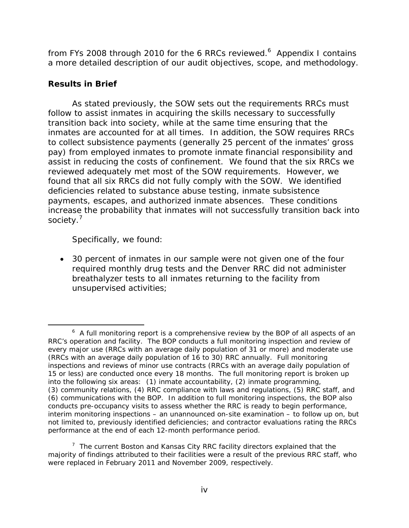from FYs 2008 through 2010 for the 6 RRCs reviewed.<sup>6</sup> Appendix I contains a more detailed description of our audit objectives, scope, and methodology.

## **Results in Brief**

As stated previously, the SOW sets out the requirements RRCs must follow to assist inmates in acquiring the skills necessary to successfully transition back into society, while at the same time ensuring that the inmates are accounted for at all times. In addition, the SOW requires RRCs to collect subsistence payments (generally 25 percent of the inmates' gross pay) from employed inmates to promote inmate financial responsibility and assist in reducing the costs of confinement. We found that the six RRCs we reviewed adequately met most of the SOW requirements. However, we found that all six RRCs did not fully comply with the SOW. We identified deficiencies related to substance abuse testing, inmate subsistence payments, escapes, and authorized inmate absences. These conditions increase the probability that inmates will not successfully transition back into society.<sup>7</sup>

Specifically, we found:

 30 percent of inmates in our sample were not given one of the four required monthly drug tests and the Denver RRC did not administer breathalyzer tests to all inmates returning to the facility from unsupervised activities;

 $\overline{a}$  $6\,$  A full monitoring report is a comprehensive review by the BOP of all aspects of an RRC's operation and facility. The BOP conducts a full monitoring inspection and review of every major use (RRCs with an average daily population of 31 or more) and moderate use (RRCs with an average daily population of 16 to 30) RRC annually. Full monitoring inspections and reviews of minor use contracts (RRCs with an average daily population of 15 or less) are conducted once every 18 months. The full monitoring report is broken up into the following six areas: (1) inmate accountability, (2) inmate programming, (3) community relations, (4) RRC compliance with laws and regulations, (5) RRC staff, and (6) communications with the BOP. In addition to full monitoring inspections, the BOP also conducts pre-occupancy visits to assess whether the RRC is ready to begin performance, interim monitoring inspections – an unannounced on-site examination – to follow up on, but not limited to, previously identified deficiencies; and contractor evaluations rating the RRCs performance at the end of each 12-month performance period.

 $7$  The current Boston and Kansas City RRC facility directors explained that the majority of findings attributed to their facilities were a result of the previous RRC staff, who were replaced in February 2011 and November 2009, respectively.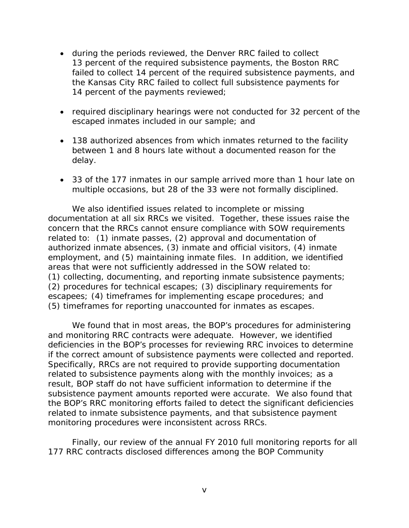- during the periods reviewed, the Denver RRC failed to collect 13 percent of the required subsistence payments, the Boston RRC failed to collect 14 percent of the required subsistence payments, and the Kansas City RRC failed to collect full subsistence payments for 14 percent of the payments reviewed;
- required disciplinary hearings were not conducted for 32 percent of the escaped inmates included in our sample; and
- 138 authorized absences from which inmates returned to the facility between 1 and 8 hours late without a documented reason for the delay.
- 33 of the 177 inmates in our sample arrived more than 1 hour late on multiple occasions, but 28 of the 33 were not formally disciplined.

We also identified issues related to incomplete or missing documentation at all six RRCs we visited. Together, these issues raise the concern that the RRCs cannot ensure compliance with SOW requirements related to: (1) inmate passes, (2) approval and documentation of authorized inmate absences, (3) inmate and official visitors, (4) inmate employment, and (5) maintaining inmate files. In addition, we identified areas that were not sufficiently addressed in the SOW related to: (1) collecting, documenting, and reporting inmate subsistence payments; (2) procedures for technical escapes; (3) disciplinary requirements for escapees; (4) timeframes for implementing escape procedures; and (5) timeframes for reporting unaccounted for inmates as escapes.

We found that in most areas, the BOP's procedures for administering and monitoring RRC contracts were adequate. However, we identified deficiencies in the BOP's processes for reviewing RRC invoices to determine if the correct amount of subsistence payments were collected and reported. Specifically, RRCs are not required to provide supporting documentation related to subsistence payments along with the monthly invoices; as a result, BOP staff do not have sufficient information to determine if the subsistence payment amounts reported were accurate. We also found that the BOP's RRC monitoring efforts failed to detect the significant deficiencies related to inmate subsistence payments, and that subsistence payment monitoring procedures were inconsistent across RRCs.

Finally, our review of the annual FY 2010 full monitoring reports for all 177 RRC contracts disclosed differences among the BOP Community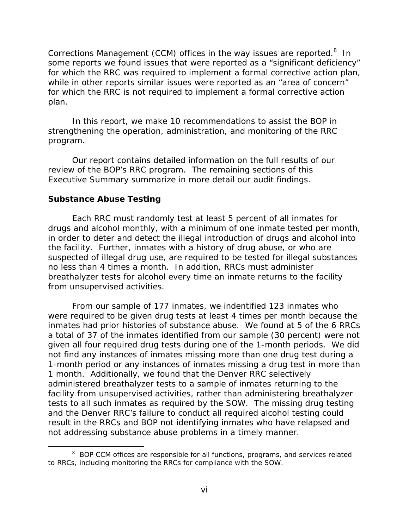Corrections Management (CCM) offices in the way issues are reported.<sup>8</sup> In some reports we found issues that were reported as a "significant deficiency" for which the RRC was required to implement a formal corrective action plan, while in other reports similar issues were reported as an "area of concern" for which the RRC is not required to implement a formal corrective action plan.

In this report, we make 10 recommendations to assist the BOP in strengthening the operation, administration, and monitoring of the RRC program.

Our report contains detailed information on the full results of our review of the BOP's RRC program. The remaining sections of this Executive Summary summarize in more detail our audit findings.

#### **Substance Abuse Testing**

 $\overline{a}$ 

Each RRC must randomly test at least 5 percent of all inmates for drugs and alcohol monthly, with a minimum of one inmate tested per month, in order to deter and detect the illegal introduction of drugs and alcohol into the facility. Further, inmates with a history of drug abuse, or who are suspected of illegal drug use, are required to be tested for illegal substances no less than 4 times a month. In addition, RRCs must administer breathalyzer tests for alcohol every time an inmate returns to the facility from unsupervised activities.

From our sample of 177 inmates, we indentified 123 inmates who were required to be given drug tests at least 4 times per month because the inmates had prior histories of substance abuse. We found at 5 of the 6 RRCs a total of 37 of the inmates identified from our sample (30 percent) were not given all four required drug tests during one of the 1-month periods. We did not find any instances of inmates missing more than one drug test during a 1-month period or any instances of inmates missing a drug test in more than 1 month. Additionally, we found that the Denver RRC selectively administered breathalyzer tests to a sample of inmates returning to the facility from unsupervised activities, rather than administering breathalyzer tests to all such inmates as required by the SOW. The missing drug testing and the Denver RRC's failure to conduct all required alcohol testing could result in the RRCs and BOP not identifying inmates who have relapsed and not addressing substance abuse problems in a timely manner.

<sup>&</sup>lt;sup>8</sup> BOP CCM offices are responsible for all functions, programs, and services related to RRCs, including monitoring the RRCs for compliance with the SOW.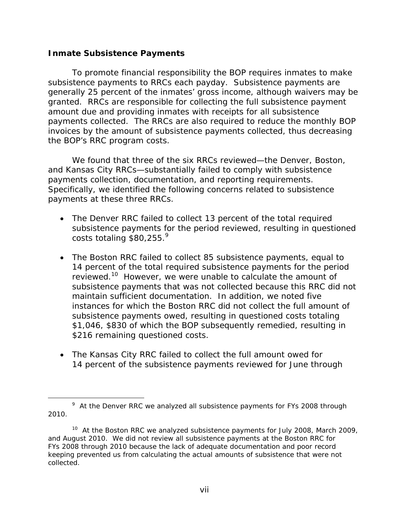#### **Inmate Subsistence Payments**

 $\overline{a}$ 

To promote financial responsibility the BOP requires inmates to make subsistence payments to RRCs each payday. Subsistence payments are generally 25 percent of the inmates' gross income, although waivers may be granted. RRCs are responsible for collecting the full subsistence payment amount due and providing inmates with receipts for all subsistence payments collected. The RRCs are also required to reduce the monthly BOP invoices by the amount of subsistence payments collected, thus decreasing the BOP's RRC program costs.

We found that three of the six RRCs reviewed—the Denver, Boston, and Kansas City RRCs—substantially failed to comply with subsistence payments collection, documentation, and reporting requirements. Specifically, we identified the following concerns related to subsistence payments at these three RRCs.

- costs totaling  $$80,255.<sup>9</sup>$  The Denver RRC failed to collect 13 percent of the total required subsistence payments for the period reviewed, resulting in questioned
- The Boston RRC failed to collect 85 subsistence payments, equal to 14 percent of the total required subsistence payments for the period reviewed.<sup>10</sup> However, we were unable to calculate the amount of subsistence payments that was not collected because this RRC did not maintain sufficient documentation. In addition, we noted five instances for which the Boston RRC did not collect the full amount of subsistence payments owed, resulting in questioned costs totaling \$1,046, \$830 of which the BOP subsequently remedied, resulting in \$216 remaining questioned costs.
- The Kansas City RRC failed to collect the full amount owed for 14 percent of the subsistence payments reviewed for June through

<sup>&</sup>lt;sup>9</sup> At the Denver RRC we analyzed all subsistence payments for FYs 2008 through 2010.

<sup>&</sup>lt;sup>10</sup> At the Boston RRC we analyzed subsistence payments for July 2008, March 2009, and August 2010. We did not review all subsistence payments at the Boston RRC for FYs 2008 through 2010 because the lack of adequate documentation and poor record keeping prevented us from calculating the actual amounts of subsistence that were not collected.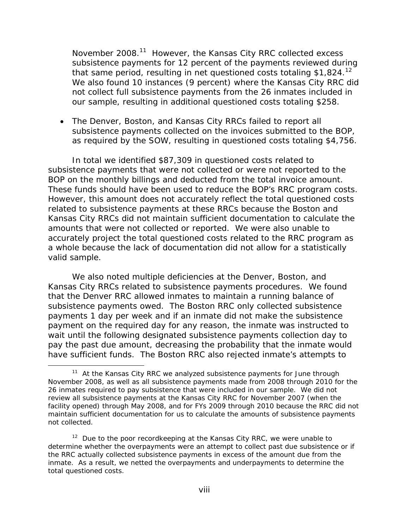that same period, resulting in net questioned costs totaling \$1,824. $12$ November 2008.<sup>11</sup> However, the Kansas City RRC collected excess subsistence payments for 12 percent of the payments reviewed during We also found 10 instances (9 percent) where the Kansas City RRC did not collect full subsistence payments from the 26 inmates included in our sample, resulting in additional questioned costs totaling \$258.

 The Denver, Boston, and Kansas City RRCs failed to report all subsistence payments collected on the invoices submitted to the BOP, as required by the SOW, resulting in questioned costs totaling \$4,756.

In total we identified \$87,309 in questioned costs related to subsistence payments that were not collected or were not reported to the BOP on the monthly billings and deducted from the total invoice amount. These funds should have been used to reduce the BOP's RRC program costs. However, this amount does not accurately reflect the total questioned costs related to subsistence payments at these RRCs because the Boston and Kansas City RRCs did not maintain sufficient documentation to calculate the amounts that were not collected or reported. We were also unable to accurately project the total questioned costs related to the RRC program as a whole because the lack of documentation did not allow for a statistically valid sample.

We also noted multiple deficiencies at the Denver, Boston, and Kansas City RRCs related to subsistence payments procedures. We found that the Denver RRC allowed inmates to maintain a running balance of subsistence payments owed. The Boston RRC only collected subsistence payments 1 day per week and if an inmate did not make the subsistence payment on the required day for any reason, the inmate was instructed to wait until the following designated subsistence payments collection day to pay the past due amount, decreasing the probability that the inmate would have sufficient funds. The Boston RRC also rejected inmate's attempts to

 $\overline{a}$ 

 $11$  At the Kansas City RRC we analyzed subsistence payments for June through November 2008, as well as all subsistence payments made from 2008 through 2010 for the 26 inmates required to pay subsistence that were included in our sample. We did not review all subsistence payments at the Kansas City RRC for November 2007 (when the facility opened) through May 2008, and for FYs 2009 through 2010 because the RRC did not maintain sufficient documentation for us to calculate the amounts of subsistence payments not collected.

 $12$  Due to the poor recordkeeping at the Kansas City RRC, we were unable to determine whether the overpayments were an attempt to collect past due subsistence or if the RRC actually collected subsistence payments in excess of the amount due from the inmate. As a result, we netted the overpayments and underpayments to determine the total questioned costs.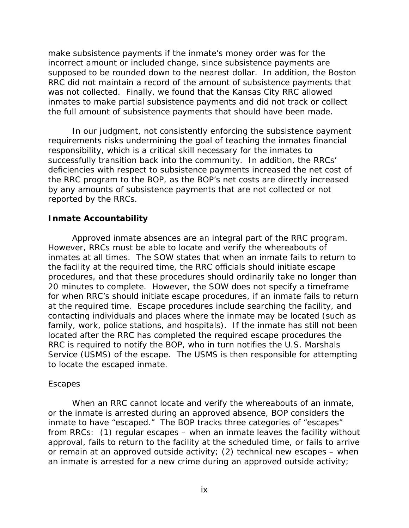make subsistence payments if the inmate's money order was for the incorrect amount or included change, since subsistence payments are supposed to be rounded down to the nearest dollar. In addition, the Boston RRC did not maintain a record of the amount of subsistence payments that was not collected. Finally, we found that the Kansas City RRC allowed inmates to make partial subsistence payments and did not track or collect the full amount of subsistence payments that should have been made.

In our judgment, not consistently enforcing the subsistence payment requirements risks undermining the goal of teaching the inmates financial responsibility, which is a critical skill necessary for the inmates to successfully transition back into the community. In addition, the RRCs' deficiencies with respect to subsistence payments increased the net cost of the RRC program to the BOP, as the BOP's net costs are directly increased by any amounts of subsistence payments that are not collected or not reported by the RRCs.

#### **Inmate Accountability**

Approved inmate absences are an integral part of the RRC program. However, RRCs must be able to locate and verify the whereabouts of inmates at all times. The SOW states that when an inmate fails to return to the facility at the required time, the RRC officials should initiate escape procedures, and that these procedures should ordinarily take no longer than 20 minutes to complete. However, the SOW does not specify a timeframe for when RRC's should initiate escape procedures, if an inmate fails to return at the required time. Escape procedures include searching the facility, and contacting individuals and places where the inmate may be located (such as family, work, police stations, and hospitals). If the inmate has still not been located after the RRC has completed the required escape procedures the RRC is required to notify the BOP, who in turn notifies the U.S. Marshals Service (USMS) of the escape. The USMS is then responsible for attempting to locate the escaped inmate.

#### *Escapes*

When an RRC cannot locate and verify the whereabouts of an inmate, or the inmate is arrested during an approved absence, BOP considers the inmate to have "escaped." The BOP tracks three categories of "escapes" from RRCs: (1) regular escapes – when an inmate leaves the facility without approval, fails to return to the facility at the scheduled time, or fails to arrive or remain at an approved outside activity; (2) technical new escapes – when an inmate is arrested for a new crime during an approved outside activity;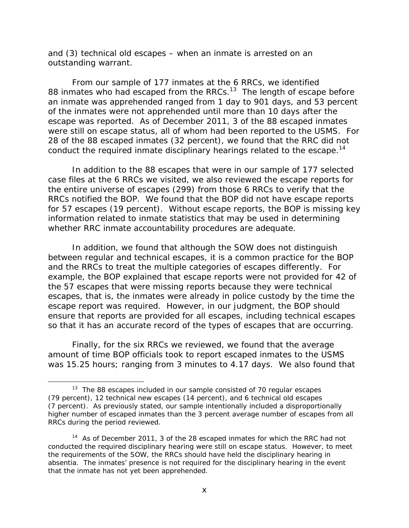and (3) technical old escapes – when an inmate is arrested on an outstanding warrant.

From our sample of 177 inmates at the 6 RRCs, we identified 88 inmates who had escaped from the RRCs. $13$  The length of escape before an inmate was apprehended ranged from 1 day to 901 days, and 53 percent of the inmates were not apprehended until more than 10 days after the escape was reported. As of December 2011, 3 of the 88 escaped inmates were still on escape status, all of whom had been reported to the USMS. For 28 of the 88 escaped inmates (32 percent), we found that the RRC did not conduct the required inmate disciplinary hearings related to the escape.<sup>14</sup>

In addition to the 88 escapes that were in our sample of 177 selected case files at the 6 RRCs we visited, we also reviewed the escape reports for the entire universe of escapes (299) from those 6 RRCs to verify that the RRCs notified the BOP. We found that the BOP did not have escape reports for 57 escapes (19 percent). Without escape reports, the BOP is missing key information related to inmate statistics that may be used in determining whether RRC inmate accountability procedures are adequate.

In addition, we found that although the SOW does not distinguish between regular and technical escapes, it is a common practice for the BOP and the RRCs to treat the multiple categories of escapes differently. For example, the BOP explained that escape reports were not provided for 42 of the 57 escapes that were missing reports because they were technical escapes, that is, the inmates were already in police custody by the time the escape report was required. However, in our judgment, the BOP should ensure that reports are provided for all escapes, including technical escapes so that it has an accurate record of the types of escapes that are occurring.

Finally, for the six RRCs we reviewed, we found that the average amount of time BOP officials took to report escaped inmates to the USMS was 15.25 hours; ranging from 3 minutes to 4.17 days. We also found that

 $\overline{a}$ 

 $13$  The 88 escapes included in our sample consisted of 70 regular escapes (79 percent), 12 technical new escapes (14 percent), and 6 technical old escapes (7 percent). As previously stated, our sample intentionally included a disproportionally higher number of escaped inmates than the 3 percent average number of escapes from all RRCs during the period reviewed.

<sup>&</sup>lt;sup>14</sup> As of December 2011, 3 of the 28 escaped inmates for which the RRC had not conducted the required disciplinary hearing were still on escape status. However, to meet the requirements of the SOW, the RRCs should have held the disciplinary hearing in absentia. The inmates' presence is not required for the disciplinary hearing in the event that the inmate has not yet been apprehended.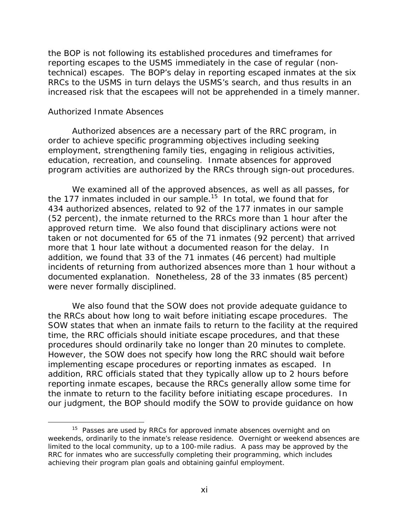the BOP is not following its established procedures and timeframes for reporting escapes to the USMS immediately in the case of regular (nontechnical) escapes. The BOP's delay in reporting escaped inmates at the six RRCs to the USMS in turn delays the USMS's search, and thus results in an increased risk that the escapees will not be apprehended in a timely manner.

#### *Authorized Inmate Absences*

 $\overline{a}$ 

Authorized absences are a necessary part of the RRC program, in order to achieve specific programming objectives including seeking employment, strengthening family ties, engaging in religious activities, education, recreation, and counseling. Inmate absences for approved program activities are authorized by the RRCs through sign-out procedures.

We examined all of the approved absences, as well as all passes, for the 177 inmates included in our sample.<sup>15</sup> In total, we found that for 434 authorized absences, related to 92 of the 177 inmates in our sample (52 percent), the inmate returned to the RRCs more than 1 hour after the approved return time. We also found that disciplinary actions were not taken or not documented for 65 of the 71 inmates (92 percent) that arrived more that 1 hour late without a documented reason for the delay. In addition, we found that 33 of the 71 inmates (46 percent) had multiple incidents of returning from authorized absences more than 1 hour without a documented explanation. Nonetheless, 28 of the 33 inmates (85 percent) were never formally disciplined.

We also found that the SOW does not provide adequate guidance to the RRCs about how long to wait before initiating escape procedures. The SOW states that when an inmate fails to return to the facility at the required time, the RRC officials should initiate escape procedures, and that these procedures should ordinarily take no longer than 20 minutes to complete. However, the SOW does not specify how long the RRC should wait before implementing escape procedures or reporting inmates as escaped. In addition, RRC officials stated that they typically allow up to 2 hours before reporting inmate escapes, because the RRCs generally allow some time for the inmate to return to the facility before initiating escape procedures. In our judgment, the BOP should modify the SOW to provide guidance on how

achieving their program plan goals and obtaining gainful employment.<br>xi  $15$  Passes are used by RRCs for approved inmate absences overnight and on weekends, ordinarily to the inmate's release residence. Overnight or weekend absences are limited to the local community, up to a 100-mile radius. A pass may be approved by the RRC for inmates who are successfully completing their programming, which includes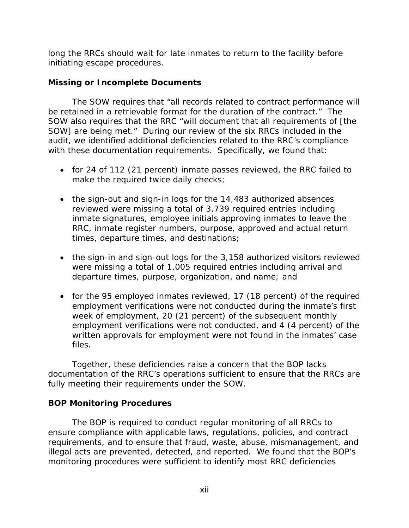long the RRCs should wait for late inmates to return to the facility before initiating escape procedures.

## **Missing or Incomplete Documents**

The SOW requires that "all records related to contract performance will be retained in a retrievable format for the duration of the contract." The SOW also requires that the RRC "will document that all requirements of [the SOW] are being met." During our review of the six RRCs included in the audit, we identified additional deficiencies related to the RRC's compliance with these documentation requirements. Specifically, we found that:

- for 24 of 112 (21 percent) inmate passes reviewed, the RRC failed to make the required twice daily checks;
- the sign-out and sign-in logs for the 14,483 authorized absences reviewed were missing a total of 3,739 required entries including inmate signatures, employee initials approving inmates to leave the RRC, inmate register numbers, purpose, approved and actual return times, departure times, and destinations;
- the sign-in and sign-out logs for the 3,158 authorized visitors reviewed were missing a total of 1,005 required entries including arrival and departure times, purpose, organization, and name; and
- for the 95 employed inmates reviewed, 17 (18 percent) of the required employment verifications were not conducted during the inmate's first week of employment, 20 (21 percent) of the subsequent monthly employment verifications were not conducted, and 4 (4 percent) of the written approvals for employment were not found in the inmates' case files.

Together, these deficiencies raise a concern that the BOP lacks documentation of the RRC's operations sufficient to ensure that the RRCs are fully meeting their requirements under the SOW.

## **BOP Monitoring Procedures**

The BOP is required to conduct regular monitoring of all RRCs to ensure compliance with applicable laws, regulations, policies, and contract requirements, and to ensure that fraud, waste, abuse, mismanagement, and illegal acts are prevented, detected, and reported. We found that the BOP's monitoring procedures were sufficient to identify most RRC deficiencies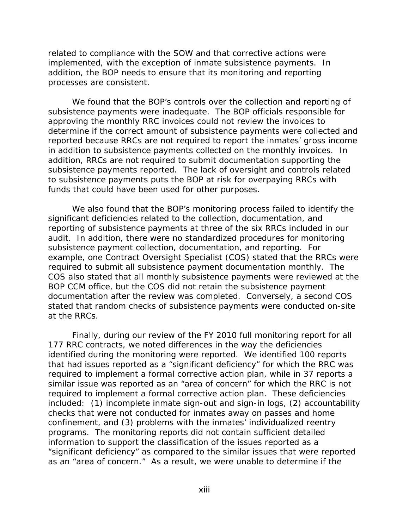related to compliance with the SOW and that corrective actions were implemented, with the exception of inmate subsistence payments. In addition, the BOP needs to ensure that its monitoring and reporting processes are consistent.

We found that the BOP's controls over the collection and reporting of subsistence payments were inadequate. The BOP officials responsible for approving the monthly RRC invoices could not review the invoices to determine if the correct amount of subsistence payments were collected and reported because RRCs are not required to report the inmates' gross income in addition to subsistence payments collected on the monthly invoices. In addition, RRCs are not required to submit documentation supporting the subsistence payments reported. The lack of oversight and controls related to subsistence payments puts the BOP at risk for overpaying RRCs with funds that could have been used for other purposes.

We also found that the BOP's monitoring process failed to identify the significant deficiencies related to the collection, documentation, and reporting of subsistence payments at three of the six RRCs included in our audit. In addition, there were no standardized procedures for monitoring subsistence payment collection, documentation, and reporting. For example, one Contract Oversight Specialist (COS) stated that the RRCs were required to submit all subsistence payment documentation monthly. The COS also stated that all monthly subsistence payments were reviewed at the BOP CCM office, but the COS did not retain the subsistence payment documentation after the review was completed. Conversely, a second COS stated that random checks of subsistence payments were conducted on-site at the RRCs.

Finally, during our review of the FY 2010 full monitoring report for all 177 RRC contracts, we noted differences in the way the deficiencies identified during the monitoring were reported. We identified 100 reports that had issues reported as a "significant deficiency" for which the RRC was required to implement a formal corrective action plan, while in 37 reports a similar issue was reported as an "area of concern" for which the RRC is not required to implement a formal corrective action plan. These deficiencies included: (1) incomplete inmate sign-out and sign-in logs, (2) accountability checks that were not conducted for inmates away on passes and home confinement, and (3) problems with the inmates' individualized reentry programs. The monitoring reports did not contain sufficient detailed information to support the classification of the issues reported as a "significant deficiency" as compared to the similar issues that were reported as an "area of concern." As a result, we were unable to determine if the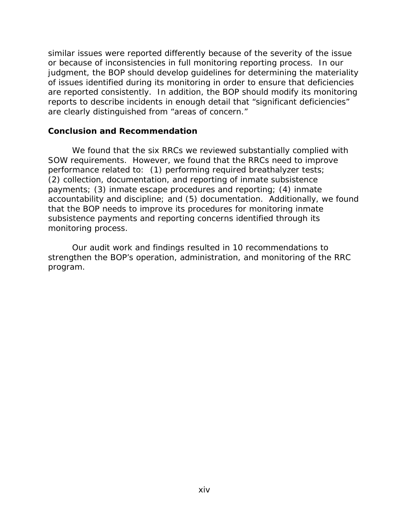similar issues were reported differently because of the severity of the issue or because of inconsistencies in full monitoring reporting process. In our judgment, the BOP should develop guidelines for determining the materiality of issues identified during its monitoring in order to ensure that deficiencies are reported consistently. In addition, the BOP should modify its monitoring reports to describe incidents in enough detail that "significant deficiencies" are clearly distinguished from "areas of concern."

#### **Conclusion and Recommendation**

We found that the six RRCs we reviewed substantially complied with SOW requirements. However, we found that the RRCs need to improve performance related to: (1) performing required breathalyzer tests; (2) collection, documentation, and reporting of inmate subsistence payments; (3) inmate escape procedures and reporting; (4) inmate accountability and discipline; and (5) documentation. Additionally, we found that the BOP needs to improve its procedures for monitoring inmate subsistence payments and reporting concerns identified through its monitoring process.

Our audit work and findings resulted in 10 recommendations to strengthen the BOP's operation, administration, and monitoring of the RRC program.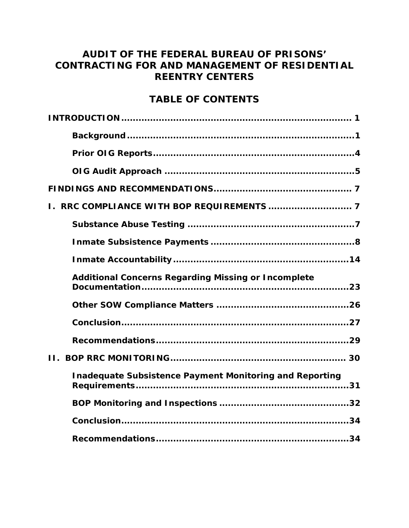# **AUDIT OF THE FEDERAL BUREAU OF PRISONS' CONTRACTING FOR AND MANAGEMENT OF RESIDENTIAL REENTRY CENTERS**

# **TABLE OF CONTENTS**

| <b>Additional Concerns Regarding Missing or Incomplete</b>     |
|----------------------------------------------------------------|
|                                                                |
|                                                                |
|                                                                |
|                                                                |
| <b>Inadequate Subsistence Payment Monitoring and Reporting</b> |
|                                                                |
|                                                                |
|                                                                |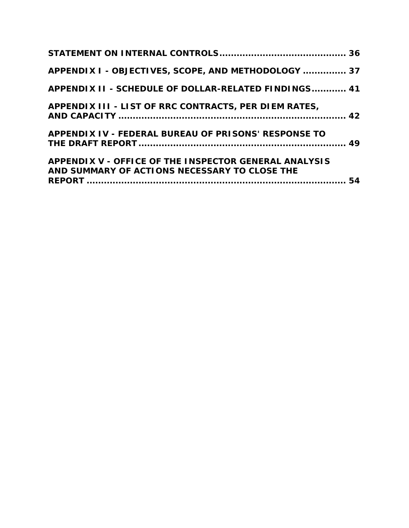| APPENDIX I - OBJECTIVES, SCOPE, AND METHODOLOGY  37                                                    |  |
|--------------------------------------------------------------------------------------------------------|--|
| APPENDIX II - SCHEDULE OF DOLLAR-RELATED FINDINGS 41                                                   |  |
| APPENDIX III - LIST OF RRC CONTRACTS, PER DIEM RATES,                                                  |  |
| APPENDIX IV - FEDERAL BUREAU OF PRISONS' RESPONSE TO                                                   |  |
| APPENDIX V - OFFICE OF THE INSPECTOR GENERAL ANALYSIS<br>AND SUMMARY OF ACTIONS NECESSARY TO CLOSE THE |  |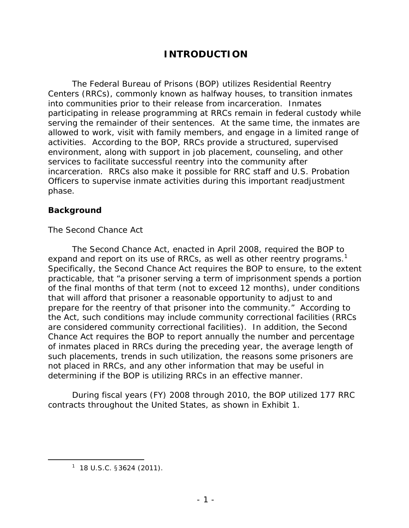# **INTRODUCTION**

The Federal Bureau of Prisons (BOP) utilizes Residential Reentry Centers (RRCs), commonly known as halfway houses, to transition inmates into communities prior to their release from incarceration. Inmates participating in release programming at RRCs remain in federal custody while serving the remainder of their sentences. At the same time, the inmates are allowed to work, visit with family members, and engage in a limited range of activities. According to the BOP, RRCs provide a structured, supervised environment, along with support in job placement, counseling, and other services to facilitate successful reentry into the community after incarceration. RRCs also make it possible for RRC staff and U.S. Probation Officers to supervise inmate activities during this important readjustment phase.

## **Background**

#### *The Second Chance Act*

The Second Chance Act, enacted in April 2008, required the BOP to expand and report on its use of RRCs, as well as other reentry programs.<sup>1</sup> Specifically, the Second Chance Act requires the BOP to ensure, to the extent practicable, that "a prisoner serving a term of imprisonment spends a portion of the final months of that term (not to exceed 12 months), under conditions that will afford that prisoner a reasonable opportunity to adjust to and prepare for the reentry of that prisoner into the community." According to the Act, such conditions may include community correctional facilities (RRCs are considered community correctional facilities). In addition, the Second Chance Act requires the BOP to report annually the number and percentage of inmates placed in RRCs during the preceding year, the average length of such placements, trends in such utilization, the reasons some prisoners are not placed in RRCs, and any other information that may be useful in determining if the BOP is utilizing RRCs in an effective manner.

During fiscal years (FY) 2008 through 2010, the BOP utilized 177 RRC contracts throughout the United States, as shown in Exhibit 1.

 $\overline{a}$ 

 $1$  18 U.S.C. §3624 (2011).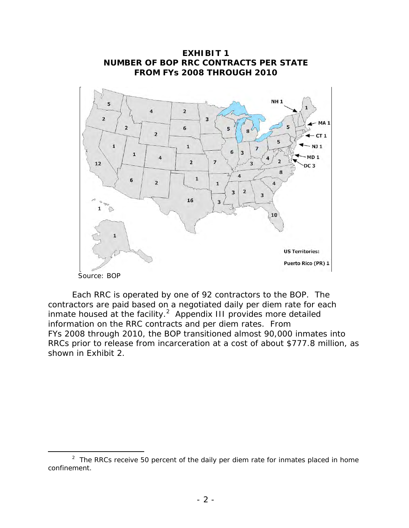

Each RRC is operated by one of 92 contractors to the BOP. The contractors are paid based on a negotiated daily per diem rate for each inmate housed at the facility. $^2$  Appendix III provides more detailed information on the RRC contracts and per diem rates. From FYs 2008 through 2010, the BOP transitioned almost 90,000 inmates into RRCs prior to release from incarceration at a cost of about \$777.8 million, as shown in Exhibit 2.

 $\overline{a}$ 

<sup>&</sup>lt;sup>2</sup> The RRCs receive 50 percent of the daily per diem rate for inmates placed in home confinement.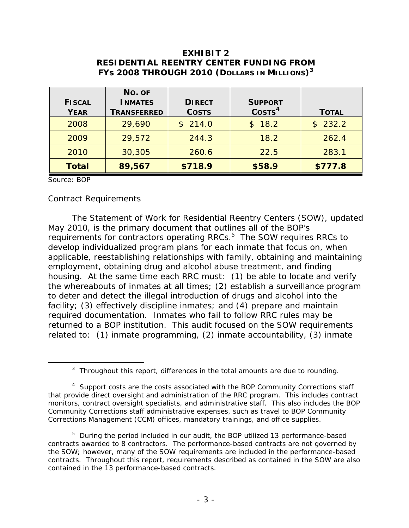## **EXHIBIT 2 RESIDENTIAL REENTRY CENTER FUNDING FROM FYs 2008 THROUGH 2010 (DOLLARS IN MILLIONS)<sup>3</sup>**

| <b>FISCAL</b><br><b>YEAR</b> | No. OF<br><b>INMATES</b><br><b>TRANSFERRED</b> | <b>DIRECT</b><br><b>COSTS</b> | <b>SUPPORT</b><br>$\text{COSTS}^4$ | <b>TOTAL</b> |
|------------------------------|------------------------------------------------|-------------------------------|------------------------------------|--------------|
| 2008                         | 29,690                                         | \$214.0                       | \$18.2                             | \$232.2      |
| 2009                         | 29,572                                         | 244.3                         | 18.2                               | 262.4        |
| 2010                         | 30,305                                         | 260.6                         | 22.5                               | 283.1        |
| <b>Total</b>                 | 89,567                                         | \$718.9                       | \$58.9                             | \$777.8      |

Source: BOP

 $\overline{a}$ 

#### *Contract Requirements*

The Statement of Work for Residential Reentry Centers (SOW), updated May 2010, is the primary document that outlines all of the BOP's requirements for contractors operating RRCs.<sup>5</sup> The SOW requires RRCs to develop individualized program plans for each inmate that focus on, when applicable, reestablishing relationships with family, obtaining and maintaining employment, obtaining drug and alcohol abuse treatment, and finding housing. At the same time each RRC must: (1) be able to locate and verify the whereabouts of inmates at all times; (2) establish a surveillance program to deter and detect the illegal introduction of drugs and alcohol into the facility; (3) effectively discipline inmates; and (4) prepare and maintain required documentation. Inmates who fail to follow RRC rules may be returned to a BOP institution. This audit focused on the SOW requirements related to: (1) inmate programming, (2) inmate accountability, (3) inmate

 $3$  Throughout this report, differences in the total amounts are due to rounding.

<sup>&</sup>lt;sup>4</sup> Support costs are the costs associated with the BOP Community Corrections staff that provide direct oversight and administration of the RRC program. This includes contract monitors, contract oversight specialists, and administrative staff. This also includes the BOP Community Corrections staff administrative expenses, such as travel to BOP Community Corrections Management (CCM) offices, mandatory trainings, and office supplies.

<sup>&</sup>lt;sup>5</sup> During the period included in our audit, the BOP utilized 13 performance-based contracts awarded to 8 contractors. The performance-based contracts are not governed by the SOW; however, many of the SOW requirements are included in the performance-based contracts. Throughout this report, requirements described as contained in the SOW are also contained in the 13 performance-based contracts.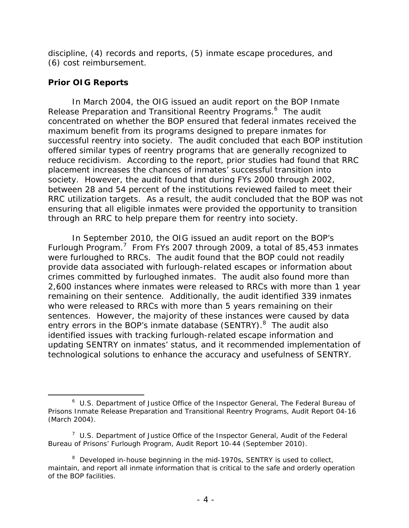discipline, (4) records and reports, (5) inmate escape procedures, and (6) cost reimbursement.

#### **Prior OIG Reports**

 $\overline{a}$ 

 reduce recidivism. According to the report, prior studies had found that RRC In March 2004, the OIG issued an audit report on the BOP Inmate Release Preparation and Transitional Reentry Programs.<sup>6</sup> The audit concentrated on whether the BOP ensured that federal inmates received the maximum benefit from its programs designed to prepare inmates for successful reentry into society. The audit concluded that each BOP institution offered similar types of reentry programs that are generally recognized to placement increases the chances of inmates' successful transition into society. However, the audit found that during FYs 2000 through 2002, between 28 and 54 percent of the institutions reviewed failed to meet their RRC utilization targets. As a result, the audit concluded that the BOP was not ensuring that all eligible inmates were provided the opportunity to transition through an RRC to help prepare them for reentry into society.

In September 2010, the OIG issued an audit report on the BOP's Furlough Program.<sup>7</sup> From FYs 2007 through 2009, a total of 85,453 inmates were furloughed to RRCs. The audit found that the BOP could not readily provide data associated with furlough-related escapes or information about crimes committed by furloughed inmates. The audit also found more than 2,600 instances where inmates were released to RRCs with more than 1 year remaining on their sentence. Additionally, the audit identified 339 inmates who were released to RRCs with more than 5 years remaining on their sentences. However, the majority of these instances were caused by data entry errors in the BOP's inmate database (SENTRY).<sup>8</sup> The audit also identified issues with tracking furlough-related escape information and updating SENTRY on inmates' status, and it recommended implementation of technological solutions to enhance the accuracy and usefulness of SENTRY.

<sup>6</sup> U.S. Department of Justice Office of the Inspector General, *The Federal Bureau of Prisons Inmate Release Preparation and Transitional Reentry Programs*, Audit Report 04-16 (March 2004).

<sup>7</sup> U.S. Department of Justice Office of the Inspector General, *Audit of the Federal Bureau of Prisons' Furlough Program*, Audit Report 10-44 (September 2010).

 maintain, and report all inmate information that is critical to the safe and orderly operation <sup>8</sup> Developed in-house beginning in the mid-1970s, SENTRY is used to collect, of the BOP facilities.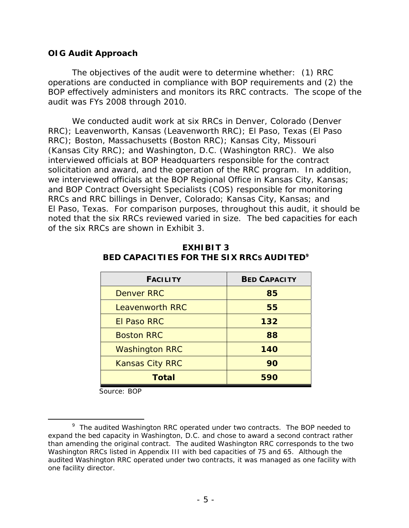## **OIG Audit Approach**

The objectives of the audit were to determine whether: (1) RRC operations are conducted in compliance with BOP requirements and (2) the BOP effectively administers and monitors its RRC contracts. The scope of the audit was FYs 2008 through 2010.

We conducted audit work at six RRCs in Denver, Colorado (Denver RRC); Leavenworth, Kansas (Leavenworth RRC); El Paso, Texas (El Paso RRC); Boston, Massachusetts (Boston RRC); Kansas City, Missouri (Kansas City RRC); and Washington, D.C. (Washington RRC). We also interviewed officials at BOP Headquarters responsible for the contract solicitation and award, and the operation of the RRC program. In addition, we interviewed officials at the BOP Regional Office in Kansas City, Kansas; and BOP Contract Oversight Specialists (COS) responsible for monitoring RRCs and RRC billings in Denver, Colorado; Kansas City, Kansas; and El Paso, Texas. For comparison purposes, throughout this audit, it should be noted that the six RRCs reviewed varied in size. The bed capacities for each of the six RRCs are shown in Exhibit 3.

| <b>FACILITY</b>        | <b>BED CAPACITY</b> |  |
|------------------------|---------------------|--|
| <b>Denver RRC</b>      | 85                  |  |
| <b>Leavenworth RRC</b> | 55                  |  |
| El Paso RRC            | 132                 |  |
| <b>Boston RRC</b>      | 88                  |  |
| <b>Washington RRC</b>  | 140                 |  |
| <b>Kansas City RRC</b> | 90                  |  |
| Total                  | <i>590</i>          |  |

#### **BED CAPACITIES FOR THE SIX RRCS AUDITED9 EXHIBIT 3**

Source: BOP

-

<sup>&</sup>lt;sup>9</sup> The audited Washington RRC operated under two contracts. The BOP needed to expand the bed capacity in Washington, D.C. and chose to award a second contract rather than amending the original contract. The audited Washington RRC corresponds to the two Washington RRCs listed in Appendix III with bed capacities of 75 and 65. Although the audited Washington RRC operated under two contracts, it was managed as one facility with one facility director.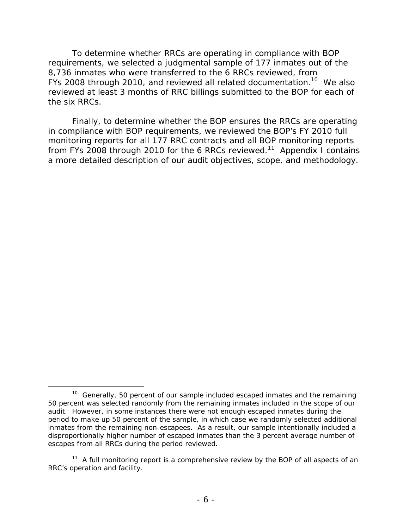To determine whether RRCs are operating in compliance with BOP requirements, we selected a judgmental sample of 177 inmates out of the 8,736 inmates who were transferred to the 6 RRCs reviewed, from FYs 2008 through 2010, and reviewed all related documentation.<sup>10</sup> We also reviewed at least 3 months of RRC billings submitted to the BOP for each of the six RRCs.

Finally, to determine whether the BOP ensures the RRCs are operating in compliance with BOP requirements, we reviewed the BOP's FY 2010 full monitoring reports for all 177 RRC contracts and all BOP monitoring reports from FYs 2008 through 2010 for the 6 RRCs reviewed.<sup>11</sup> Appendix I contains a more detailed description of our audit objectives, scope, and methodology.

 $\overline{a}$  $10$  Generally, 50 percent of our sample included escaped inmates and the remaining 50 percent was selected randomly from the remaining inmates included in the scope of our audit. However, in some instances there were not enough escaped inmates during the period to make up 50 percent of the sample, in which case we randomly selected additional inmates from the remaining non-escapees. As a result, our sample intentionally included a disproportionally higher number of escaped inmates than the 3 percent average number of escapes from all RRCs during the period reviewed.

 $11$  A full monitoring report is a comprehensive review by the BOP of all aspects of an RRC's operation and facility.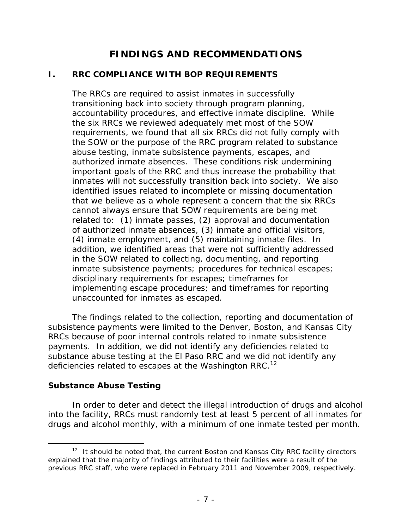# **FINDINGS AND RECOMMENDATIONS**

# **I. RRC COMPLIANCE WITH BOP REQUIREMENTS**

The RRCs are required to assist inmates in successfully transitioning back into society through program planning, accountability procedures, and effective inmate discipline. While the six RRCs we reviewed adequately met most of the SOW requirements, we found that all six RRCs did not fully comply with the SOW or the purpose of the RRC program related to substance abuse testing, inmate subsistence payments, escapes, and authorized inmate absences. These conditions risk undermining important goals of the RRC and thus increase the probability that inmates will not successfully transition back into society. We also identified issues related to incomplete or missing documentation that we believe as a whole represent a concern that the six RRCs cannot always ensure that SOW requirements are being met related to: (1) inmate passes, (2) approval and documentation of authorized inmate absences, (3) inmate and official visitors, (4) inmate employment, and (5) maintaining inmate files. In addition, we identified areas that were not sufficiently addressed in the SOW related to collecting, documenting, and reporting inmate subsistence payments; procedures for technical escapes; disciplinary requirements for escapes; timeframes for implementing escape procedures; and timeframes for reporting unaccounted for inmates as escaped.

The findings related to the collection, reporting and documentation of subsistence payments were limited to the Denver, Boston, and Kansas City RRCs because of poor internal controls related to inmate subsistence payments. In addition, we did not identify any deficiencies related to substance abuse testing at the El Paso RRC and we did not identify any deficiencies related to escapes at the Washington RRC.<sup>12</sup>

## **Substance Abuse Testing**

In order to deter and detect the illegal introduction of drugs and alcohol into the facility, RRCs must randomly test at least 5 percent of all inmates for drugs and alcohol monthly, with a minimum of one inmate tested per month.

 $\overline{a}$  $12$  It should be noted that, the current Boston and Kansas City RRC facility directors explained that the majority of findings attributed to their facilities were a result of the previous RRC staff, who were replaced in February 2011 and November 2009, respectively.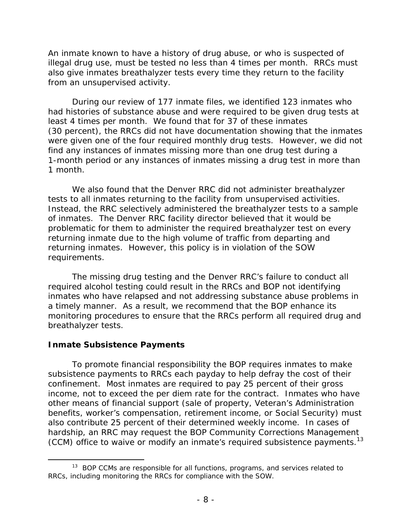An inmate known to have a history of drug abuse, or who is suspected of illegal drug use, must be tested no less than 4 times per month. RRCs must also give inmates breathalyzer tests every time they return to the facility from an unsupervised activity.

During our review of 177 inmate files, we identified 123 inmates who had histories of substance abuse and were required to be given drug tests at least 4 times per month. We found that for 37 of these inmates (30 percent), the RRCs did not have documentation showing that the inmates were given one of the four required monthly drug tests. However, we did not find any instances of inmates missing more than one drug test during a 1-month period or any instances of inmates missing a drug test in more than 1 month.

We also found that the Denver RRC did not administer breathalyzer tests to all inmates returning to the facility from unsupervised activities. Instead, the RRC selectively administered the breathalyzer tests to a sample of inmates. The Denver RRC facility director believed that it would be problematic for them to administer the required breathalyzer test on every returning inmate due to the high volume of traffic from departing and returning inmates. However, this policy is in violation of the SOW requirements.

The missing drug testing and the Denver RRC's failure to conduct all required alcohol testing could result in the RRCs and BOP not identifying inmates who have relapsed and not addressing substance abuse problems in a timely manner. As a result, we recommend that the BOP enhance its monitoring procedures to ensure that the RRCs perform all required drug and breathalyzer tests.

## **Inmate Subsistence Payments**

 $\overline{a}$ 

(CCM) office to waive or modify an inmate's required subsistence payments.<sup>13</sup> To promote financial responsibility the BOP requires inmates to make subsistence payments to RRCs each payday to help defray the cost of their confinement. Most inmates are required to pay 25 percent of their gross income, not to exceed the per diem rate for the contract. Inmates who have other means of financial support (sale of property, Veteran's Administration benefits, worker's compensation, retirement income, or Social Security) must also contribute 25 percent of their determined weekly income. In cases of hardship, an RRC may request the BOP Community Corrections Management

<sup>&</sup>lt;sup>13</sup> BOP CCMs are responsible for all functions, programs, and services related to RRCs, including monitoring the RRCs for compliance with the SOW.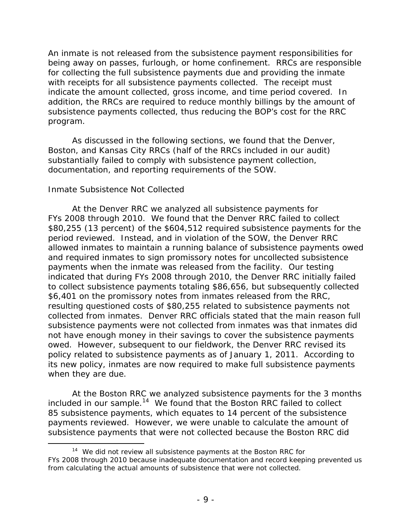An inmate is not released from the subsistence payment responsibilities for being away on passes, furlough, or home confinement. RRCs are responsible for collecting the full subsistence payments due and providing the inmate with receipts for all subsistence payments collected. The receipt must indicate the amount collected, gross income, and time period covered. In addition, the RRCs are required to reduce monthly billings by the amount of subsistence payments collected, thus reducing the BOP's cost for the RRC program.

As discussed in the following sections, we found that the Denver, Boston, and Kansas City RRCs (half of the RRCs included in our audit) substantially failed to comply with subsistence payment collection, documentation, and reporting requirements of the SOW.

## *Inmate Subsistence Not Collected*

 $\overline{a}$ 

At the Denver RRC we analyzed all subsistence payments for FYs 2008 through 2010. We found that the Denver RRC failed to collect \$80,255 (13 percent) of the \$604,512 required subsistence payments for the period reviewed. Instead, and in violation of the SOW, the Denver RRC allowed inmates to maintain a running balance of subsistence payments owed and required inmates to sign promissory notes for uncollected subsistence payments when the inmate was released from the facility. Our testing indicated that during FYs 2008 through 2010, the Denver RRC initially failed to collect subsistence payments totaling \$86,656, but subsequently collected \$6,401 on the promissory notes from inmates released from the RRC, resulting questioned costs of \$80,255 related to subsistence payments not collected from inmates. Denver RRC officials stated that the main reason full subsistence payments were not collected from inmates was that inmates did not have enough money in their savings to cover the subsistence payments owed. However, subsequent to our fieldwork, the Denver RRC revised its policy related to subsistence payments as of January 1, 2011. According to its new policy, inmates are now required to make full subsistence payments when they are due.

At the Boston RRC we analyzed subsistence payments for the 3 months included in our sample.<sup>14</sup> We found that the Boston RRC failed to collect 85 subsistence payments, which equates to 14 percent of the subsistence payments reviewed. However, we were unable to calculate the amount of subsistence payments that were not collected because the Boston RRC did

 $14$  We did not review all subsistence payments at the Boston RRC for FYs 2008 through 2010 because inadequate documentation and record keeping prevented us from calculating the actual amounts of subsistence that were not collected.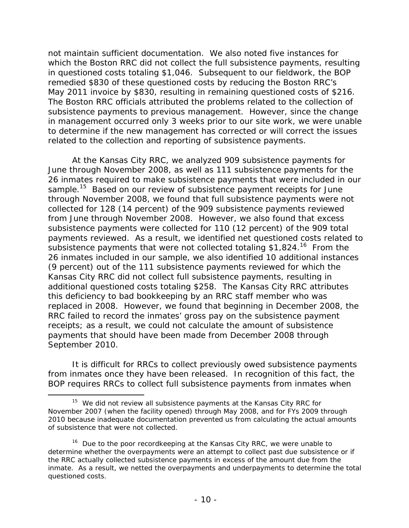May 2011 invoice by \$830, resulting in remaining questioned costs of \$216. not maintain sufficient documentation. We also noted five instances for which the Boston RRC did not collect the full subsistence payments, resulting in questioned costs totaling \$1,046. Subsequent to our fieldwork, the BOP remedied \$830 of these questioned costs by reducing the Boston RRC's The Boston RRC officials attributed the problems related to the collection of subsistence payments to previous management. However, since the change in management occurred only 3 weeks prior to our site work, we were unable to determine if the new management has corrected or will correct the issues related to the collection and reporting of subsistence payments.

At the Kansas City RRC, we analyzed 909 subsistence payments for June through November 2008, as well as 111 subsistence payments for the 26 inmates required to make subsistence payments that were included in our sample.<sup>15</sup> Based on our review of subsistence payment receipts for June through November 2008, we found that full subsistence payments were not collected for 128 (14 percent) of the 909 subsistence payments reviewed from June through November 2008. However, we also found that excess subsistence payments were collected for 110 (12 percent) of the 909 total payments reviewed. As a result, we identified net questioned costs related to subsistence payments that were not collected totaling \$1,824.<sup>16</sup> From the 26 inmates included in our sample, we also identified 10 additional instances (9 percent) out of the 111 subsistence payments reviewed for which the Kansas City RRC did not collect full subsistence payments, resulting in additional questioned costs totaling \$258. The Kansas City RRC attributes this deficiency to bad bookkeeping by an RRC staff member who was replaced in 2008. However, we found that beginning in December 2008, the RRC failed to record the inmates' gross pay on the subsistence payment receipts; as a result, we could not calculate the amount of subsistence payments that should have been made from December 2008 through September 2010.

It is difficult for RRCs to collect previously owed subsistence payments from inmates once they have been released. In recognition of this fact, the BOP requires RRCs to collect full subsistence payments from inmates when

 $\overline{a}$ 

 $15$  We did not review all subsistence payments at the Kansas City RRC for November 2007 (when the facility opened) through May 2008, and for FYs 2009 through 2010 because inadequate documentation prevented us from calculating the actual amounts of subsistence that were not collected.

<sup>&</sup>lt;sup>16</sup> Due to the poor recordkeeping at the Kansas City RRC, we were unable to determine whether the overpayments were an attempt to collect past due subsistence or if the RRC actually collected subsistence payments in excess of the amount due from the inmate. As a result, we netted the overpayments and underpayments to determine the total questioned costs.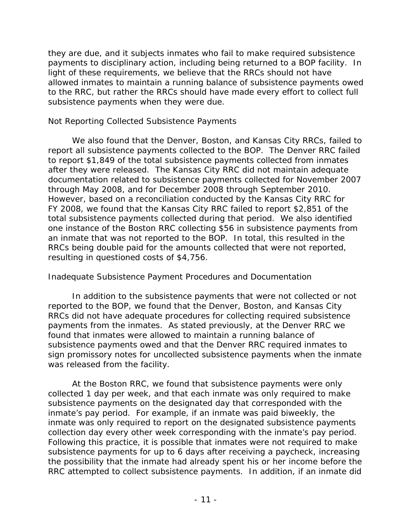they are due, and it subjects inmates who fail to make required subsistence payments to disciplinary action, including being returned to a BOP facility. In light of these requirements, we believe that the RRCs should not have allowed inmates to maintain a running balance of subsistence payments owed to the RRC, but rather the RRCs should have made every effort to collect full subsistence payments when they were due.

# *Not Reporting Collected Subsistence Payments*

We also found that the Denver, Boston, and Kansas City RRCs, failed to report all subsistence payments collected to the BOP. The Denver RRC failed to report \$1,849 of the total subsistence payments collected from inmates after they were released. The Kansas City RRC did not maintain adequate documentation related to subsistence payments collected for November 2007 through May 2008, and for December 2008 through September 2010. However, based on a reconciliation conducted by the Kansas City RRC for FY 2008, we found that the Kansas City RRC failed to report \$2,851 of the total subsistence payments collected during that period. We also identified one instance of the Boston RRC collecting \$56 in subsistence payments from an inmate that was not reported to the BOP. In total, this resulted in the RRCs being double paid for the amounts collected that were not reported, resulting in questioned costs of \$4,756.

## *Inadequate Subsistence Payment Procedures and Documentation*

In addition to the subsistence payments that were not collected or not reported to the BOP, we found that the Denver, Boston, and Kansas City RRCs did not have adequate procedures for collecting required subsistence payments from the inmates. As stated previously, at the Denver RRC we found that inmates were allowed to maintain a running balance of subsistence payments owed and that the Denver RRC required inmates to sign promissory notes for uncollected subsistence payments when the inmate was released from the facility.

At the Boston RRC, we found that subsistence payments were only collected 1 day per week, and that each inmate was only required to make subsistence payments on the designated day that corresponded with the inmate's pay period. For example, if an inmate was paid biweekly, the inmate was only required to report on the designated subsistence payments collection day every other week corresponding with the inmate's pay period. Following this practice, it is possible that inmates were not required to make subsistence payments for up to 6 days after receiving a paycheck, increasing the possibility that the inmate had already spent his or her income before the RRC attempted to collect subsistence payments. In addition, if an inmate did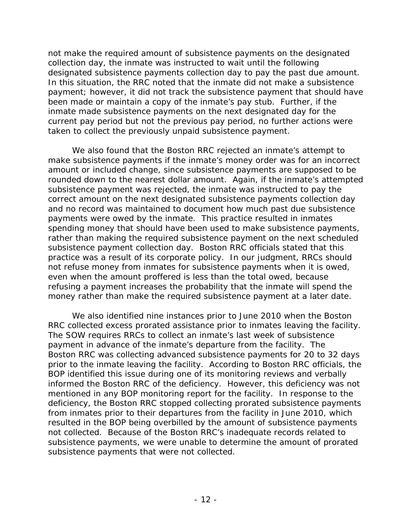not make the required amount of subsistence payments on the designated collection day, the inmate was instructed to wait until the following designated subsistence payments collection day to pay the past due amount. In this situation, the RRC noted that the inmate did not make a subsistence payment; however, it did not track the subsistence payment that should have been made or maintain a copy of the inmate's pay stub. Further, if the inmate made subsistence payments on the next designated day for the current pay period but not the previous pay period, no further actions were taken to collect the previously unpaid subsistence payment.

We also found that the Boston RRC rejected an inmate's attempt to make subsistence payments if the inmate's money order was for an incorrect amount or included change, since subsistence payments are supposed to be rounded down to the nearest dollar amount. Again, if the inmate's attempted subsistence payment was rejected, the inmate was instructed to pay the correct amount on the next designated subsistence payments collection day and no record was maintained to document how much past due subsistence payments were owed by the inmate. This practice resulted in inmates spending money that should have been used to make subsistence payments, rather than making the required subsistence payment on the next scheduled subsistence payment collection day. Boston RRC officials stated that this practice was a result of its corporate policy. In our judgment, RRCs should not refuse money from inmates for subsistence payments when it is owed, even when the amount proffered is less than the total owed, because refusing a payment increases the probability that the inmate will spend the money rather than make the required subsistence payment at a later date.

We also identified nine instances prior to June 2010 when the Boston RRC collected excess prorated assistance prior to inmates leaving the facility. The SOW requires RRCs to collect an inmate's last week of subsistence payment in advance of the inmate's departure from the facility. The Boston RRC was collecting advanced subsistence payments for 20 to 32 days prior to the inmate leaving the facility. According to Boston RRC officials, the BOP identified this issue during one of its monitoring reviews and verbally informed the Boston RRC of the deficiency. However, this deficiency was not mentioned in any BOP monitoring report for the facility. In response to the deficiency, the Boston RRC stopped collecting prorated subsistence payments from inmates prior to their departures from the facility in June 2010, which resulted in the BOP being overbilled by the amount of subsistence payments not collected. Because of the Boston RRC's inadequate records related to subsistence payments, we were unable to determine the amount of prorated subsistence payments that were not collected.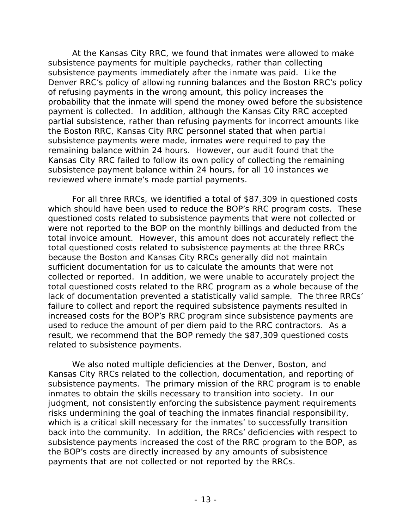At the Kansas City RRC, we found that inmates were allowed to make subsistence payments for multiple paychecks, rather than collecting subsistence payments immediately after the inmate was paid. Like the Denver RRC's policy of allowing running balances and the Boston RRC's policy of refusing payments in the wrong amount, this policy increases the probability that the inmate will spend the money owed before the subsistence payment is collected. In addition, although the Kansas City RRC accepted partial subsistence, rather than refusing payments for incorrect amounts like the Boston RRC, Kansas City RRC personnel stated that when partial subsistence payments were made, inmates were required to pay the remaining balance within 24 hours. However, our audit found that the Kansas City RRC failed to follow its own policy of collecting the remaining subsistence payment balance within 24 hours, for all 10 instances we reviewed where inmate's made partial payments.

For all three RRCs, we identified a total of \$87,309 in questioned costs which should have been used to reduce the BOP's RRC program costs. These questioned costs related to subsistence payments that were not collected or were not reported to the BOP on the monthly billings and deducted from the total invoice amount. However, this amount does not accurately reflect the total questioned costs related to subsistence payments at the three RRCs because the Boston and Kansas City RRCs generally did not maintain sufficient documentation for us to calculate the amounts that were not collected or reported. In addition, we were unable to accurately project the total questioned costs related to the RRC program as a whole because of the lack of documentation prevented a statistically valid sample. The three RRCs' failure to collect and report the required subsistence payments resulted in increased costs for the BOP's RRC program since subsistence payments are used to reduce the amount of per diem paid to the RRC contractors. As a result, we recommend that the BOP remedy the \$87,309 questioned costs related to subsistence payments.

We also noted multiple deficiencies at the Denver, Boston, and Kansas City RRCs related to the collection, documentation, and reporting of subsistence payments. The primary mission of the RRC program is to enable inmates to obtain the skills necessary to transition into society. In our judgment, not consistently enforcing the subsistence payment requirements risks undermining the goal of teaching the inmates financial responsibility, which is a critical skill necessary for the inmates' to successfully transition back into the community. In addition, the RRCs' deficiencies with respect to subsistence payments increased the cost of the RRC program to the BOP, as the BOP's costs are directly increased by any amounts of subsistence payments that are not collected or not reported by the RRCs.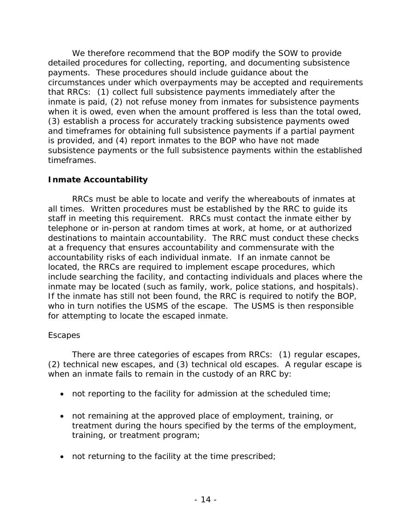We therefore recommend that the BOP modify the SOW to provide detailed procedures for collecting, reporting, and documenting subsistence payments. These procedures should include guidance about the circumstances under which overpayments may be accepted and requirements that RRCs: (1) collect full subsistence payments immediately after the inmate is paid, (2) not refuse money from inmates for subsistence payments when it is owed, even when the amount proffered is less than the total owed, (3) establish a process for accurately tracking subsistence payments owed and timeframes for obtaining full subsistence payments if a partial payment is provided, and (4) report inmates to the BOP who have not made subsistence payments or the full subsistence payments within the established timeframes.

# **Inmate Accountability**

RRCs must be able to locate and verify the whereabouts of inmates at all times. Written procedures must be established by the RRC to guide its staff in meeting this requirement. RRCs must contact the inmate either by telephone or in-person at random times at work, at home, or at authorized destinations to maintain accountability. The RRC must conduct these checks at a frequency that ensures accountability and commensurate with the accountability risks of each individual inmate. If an inmate cannot be located, the RRCs are required to implement escape procedures, which include searching the facility, and contacting individuals and places where the inmate may be located (such as family, work, police stations, and hospitals). If the inmate has still not been found, the RRC is required to notify the BOP, who in turn notifies the USMS of the escape. The USMS is then responsible for attempting to locate the escaped inmate.

## *Escapes*

There are three categories of escapes from RRCs: (1) regular escapes, (2) technical new escapes, and (3) technical old escapes. A regular escape is when an inmate fails to remain in the custody of an RRC by:

- not reporting to the facility for admission at the scheduled time;
- not remaining at the approved place of employment, training, or treatment during the hours specified by the terms of the employment, training, or treatment program;
- not returning to the facility at the time prescribed;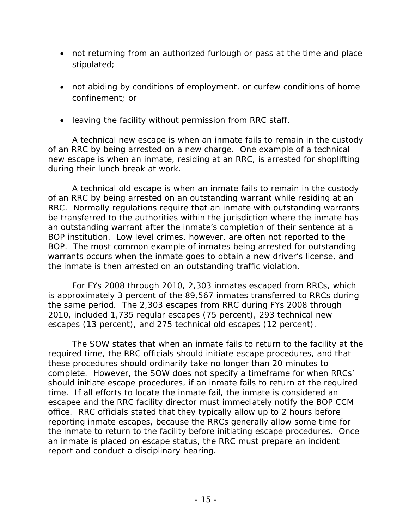- not returning from an authorized furlough or pass at the time and place stipulated;
- not abiding by conditions of employment, or curfew conditions of home confinement; or
- leaving the facility without permission from RRC staff.

A technical new escape is when an inmate fails to remain in the custody of an RRC by being arrested on a new charge. One example of a technical new escape is when an inmate, residing at an RRC, is arrested for shoplifting during their lunch break at work.

A technical old escape is when an inmate fails to remain in the custody of an RRC by being arrested on an outstanding warrant while residing at an RRC. Normally regulations require that an inmate with outstanding warrants be transferred to the authorities within the jurisdiction where the inmate has an outstanding warrant after the inmate's completion of their sentence at a BOP institution. Low level crimes, however, are often not reported to the BOP. The most common example of inmates being arrested for outstanding warrants occurs when the inmate goes to obtain a new driver's license, and the inmate is then arrested on an outstanding traffic violation.

For FYs 2008 through 2010, 2,303 inmates escaped from RRCs, which is approximately 3 percent of the 89,567 inmates transferred to RRCs during the same period. The 2,303 escapes from RRC during FYs 2008 through 2010, included 1,735 regular escapes (75 percent), 293 technical new escapes (13 percent), and 275 technical old escapes (12 percent).

The SOW states that when an inmate fails to return to the facility at the required time, the RRC officials should initiate escape procedures, and that these procedures should ordinarily take no longer than 20 minutes to complete. However, the SOW does not specify a timeframe for when RRCs' should initiate escape procedures, if an inmate fails to return at the required time. If all efforts to locate the inmate fail, the inmate is considered an escapee and the RRC facility director must immediately notify the BOP CCM office. RRC officials stated that they typically allow up to 2 hours before reporting inmate escapes, because the RRCs generally allow some time for the inmate to return to the facility before initiating escape procedures. Once an inmate is placed on escape status, the RRC must prepare an incident report and conduct a disciplinary hearing.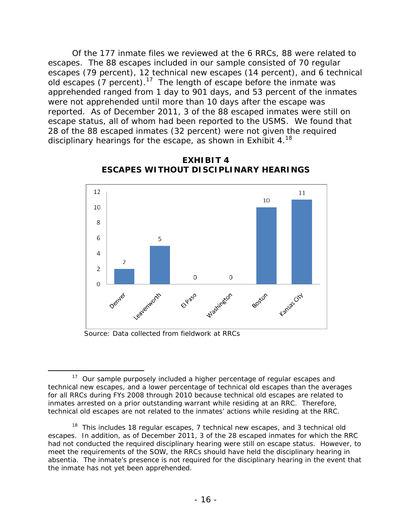Of the 177 inmate files we reviewed at the 6 RRCs, 88 were related to escapes. The 88 escapes included in our sample consisted of 70 regular escapes (79 percent), 12 technical new escapes (14 percent), and 6 technical obstapes  $(7 \text{ percent})$ .<sup>17</sup> The length of escape before the inmate was apprehended ranged from 1 day to 901 days, and 53 percent of the inmates were not apprehended until more than 10 days after the escape was reported. As of December 2011, 3 of the 88 escaped inmates were still on escape status, all of whom had been reported to the USMS. We found that 28 of the 88 escaped inmates (32 percent) were not given the required disciplinary hearings for the escape, as shown in Exhibit  $4.^{18}$ 



**EXHIBIT 4 ESCAPES WITHOUT DISCIPLINARY HEARINGS**

Source: Data collected from fieldwork at RRCs

 $\overline{a}$ <sup>17</sup> Our sample purposely included a higher percentage of regular escapes and technical new escapes, and a lower percentage of technical old escapes than the averages for all RRCs during FYs 2008 through 2010 because technical old escapes are related to inmates arrested on a prior outstanding warrant while residing at an RRC. Therefore, technical old escapes are not related to the inmates' actions while residing at the RRC.

 absentia. The inmate's presence is not required for the disciplinary hearing in the event that  $18$  This includes 18 regular escapes, 7 technical new escapes, and 3 technical old escapes. In addition, as of December 2011, 3 of the 28 escaped inmates for which the RRC had not conducted the required disciplinary hearing were still on escape status. However, to meet the requirements of the SOW, the RRCs should have held the disciplinary hearing in the inmate has not yet been apprehended.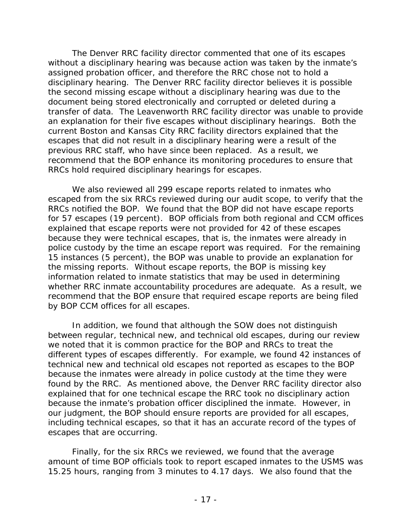The Denver RRC facility director commented that one of its escapes without a disciplinary hearing was because action was taken by the inmate's assigned probation officer, and therefore the RRC chose not to hold a disciplinary hearing. The Denver RRC facility director believes it is possible the second missing escape without a disciplinary hearing was due to the document being stored electronically and corrupted or deleted during a transfer of data. The Leavenworth RRC facility director was unable to provide an explanation for their five escapes without disciplinary hearings. Both the current Boston and Kansas City RRC facility directors explained that the escapes that did not result in a disciplinary hearing were a result of the previous RRC staff, who have since been replaced. As a result, we recommend that the BOP enhance its monitoring procedures to ensure that RRCs hold required disciplinary hearings for escapes.

We also reviewed all 299 escape reports related to inmates who escaped from the six RRCs reviewed during our audit scope, to verify that the RRCs notified the BOP. We found that the BOP did not have escape reports for 57 escapes (19 percent). BOP officials from both regional and CCM offices explained that escape reports were not provided for 42 of these escapes because they were technical escapes, that is, the inmates were already in police custody by the time an escape report was required. For the remaining 15 instances (5 percent), the BOP was unable to provide an explanation for the missing reports. Without escape reports, the BOP is missing key information related to inmate statistics that may be used in determining whether RRC inmate accountability procedures are adequate. As a result, we recommend that the BOP ensure that required escape reports are being filed by BOP CCM offices for all escapes.

In addition, we found that although the SOW does not distinguish between regular, technical new, and technical old escapes, during our review we noted that it is common practice for the BOP and RRCs to treat the different types of escapes differently. For example, we found 42 instances of technical new and technical old escapes not reported as escapes to the BOP because the inmates were already in police custody at the time they were found by the RRC. As mentioned above, the Denver RRC facility director also explained that for one technical escape the RRC took no disciplinary action because the inmate's probation officer disciplined the inmate. However, in our judgment, the BOP should ensure reports are provided for all escapes, including technical escapes, so that it has an accurate record of the types of escapes that are occurring.

Finally, for the six RRCs we reviewed, we found that the average amount of time BOP officials took to report escaped inmates to the USMS was 15.25 hours, ranging from 3 minutes to 4.17 days. We also found that the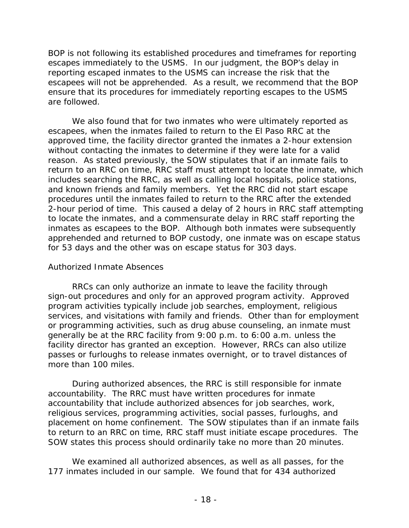BOP is not following its established procedures and timeframes for reporting escapes immediately to the USMS. In our judgment, the BOP's delay in reporting escaped inmates to the USMS can increase the risk that the escapees will not be apprehended. As a result, we recommend that the BOP ensure that its procedures for immediately reporting escapes to the USMS are followed.

We also found that for two inmates who were ultimately reported as escapees, when the inmates failed to return to the El Paso RRC at the approved time, the facility director granted the inmates a 2-hour extension without contacting the inmates to determine if they were late for a valid reason. As stated previously, the SOW stipulates that if an inmate fails to return to an RRC on time, RRC staff must attempt to locate the inmate, which includes searching the RRC, as well as calling local hospitals, police stations, and known friends and family members. Yet the RRC did not start escape procedures until the inmates failed to return to the RRC after the extended 2-hour period of time. This caused a delay of 2 hours in RRC staff attempting to locate the inmates, and a commensurate delay in RRC staff reporting the inmates as escapees to the BOP. Although both inmates were subsequently apprehended and returned to BOP custody, one inmate was on escape status for 53 days and the other was on escape status for 303 days.

## *Authorized Inmate Absences*

RRCs can only authorize an inmate to leave the facility through sign-out procedures and only for an approved program activity. Approved program activities typically include job searches, employment, religious services, and visitations with family and friends. Other than for employment or programming activities, such as drug abuse counseling, an inmate must generally be at the RRC facility from 9:00 p.m. to 6:00 a.m. unless the facility director has granted an exception. However, RRCs can also utilize passes or furloughs to release inmates overnight, or to travel distances of more than 100 miles.

During authorized absences, the RRC is still responsible for inmate accountability. The RRC must have written procedures for inmate accountability that include authorized absences for job searches, work, religious services, programming activities, social passes, furloughs, and placement on home confinement. The SOW stipulates than if an inmate fails to return to an RRC on time, RRC staff must initiate escape procedures. The SOW states this process should ordinarily take no more than 20 minutes.

We examined all authorized absences, as well as all passes, for the 177 inmates included in our sample. We found that for 434 authorized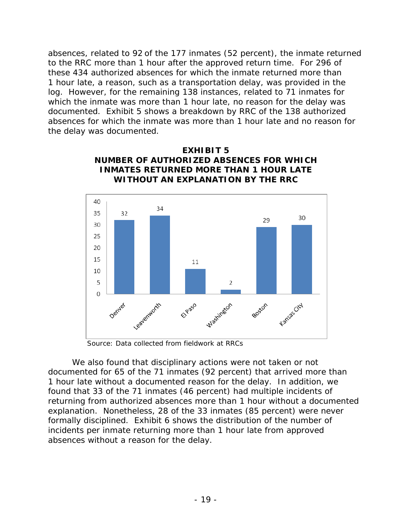absences, related to 92 of the 177 inmates (52 percent), the inmate returned to the RRC more than 1 hour after the approved return time. For 296 of these 434 authorized absences for which the inmate returned more than 1 hour late, a reason, such as a transportation delay, was provided in the log. However, for the remaining 138 instances, related to 71 inmates for which the inmate was more than 1 hour late, no reason for the delay was documented. Exhibit 5 shows a breakdown by RRC of the 138 authorized absences for which the inmate was more than 1 hour late and no reason for the delay was documented.



**EXHIBIT 5 NUMBER OF AUTHORIZED ABSENCES FOR WHICH** 

Source: Data collected from fieldwork at RRCs

We also found that disciplinary actions were not taken or not documented for 65 of the 71 inmates (92 percent) that arrived more than 1 hour late without a documented reason for the delay. In addition, we found that 33 of the 71 inmates (46 percent) had multiple incidents of returning from authorized absences more than 1 hour without a documented explanation. Nonetheless, 28 of the 33 inmates (85 percent) were never formally disciplined. Exhibit 6 shows the distribution of the number of incidents per inmate returning more than 1 hour late from approved absences without a reason for the delay.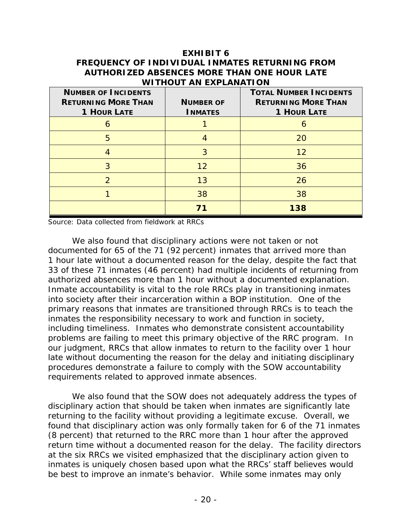### **EXHIBIT 6 FREQUENCY OF INDIVIDUAL INMATES RETURNING FROM AUTHORIZED ABSENCES MORE THAN ONE HOUR LATE WITHOUT AN EXPLANATION**

| <b>NUMBER OF INCIDENTS</b><br><b>RETURNING MORE THAN</b><br><b>1 HOUR LATE</b> | <b>NUMBER OF</b><br><b>INMATES</b> | <b>TOTAL NUMBER INCIDENTS</b><br><b>RETURNING MORE THAN</b><br><b>1 HOUR LATE</b> |
|--------------------------------------------------------------------------------|------------------------------------|-----------------------------------------------------------------------------------|
| h                                                                              |                                    | 6                                                                                 |
| 5                                                                              |                                    | 20                                                                                |
|                                                                                | 3                                  | 12                                                                                |
| 3                                                                              | 12                                 | 36                                                                                |
| $\mathcal{P}$                                                                  | 13                                 | 26                                                                                |
|                                                                                | 38                                 | 38                                                                                |
|                                                                                | 71                                 | 138                                                                               |

Source: Data collected from fieldwork at RRCs

We also found that disciplinary actions were not taken or not documented for 65 of the 71 (92 percent) inmates that arrived more than 1 hour late without a documented reason for the delay, despite the fact that 33 of these 71 inmates (46 percent) had multiple incidents of returning from authorized absences more than 1 hour without a documented explanation. Inmate accountability is vital to the role RRCs play in transitioning inmates into society after their incarceration within a BOP institution. One of the primary reasons that inmates are transitioned through RRCs is to teach the inmates the responsibility necessary to work and function in society, including timeliness. Inmates who demonstrate consistent accountability problems are failing to meet this primary objective of the RRC program. In our judgment, RRCs that allow inmates to return to the facility over 1 hour late without documenting the reason for the delay and initiating disciplinary procedures demonstrate a failure to comply with the SOW accountability requirements related to approved inmate absences.

We also found that the SOW does not adequately address the types of disciplinary action that should be taken when inmates are significantly late returning to the facility without providing a legitimate excuse. Overall, we found that disciplinary action was only formally taken for 6 of the 71 inmates (8 percent) that returned to the RRC more than 1 hour after the approved return time without a documented reason for the delay. The facility directors at the six RRCs we visited emphasized that the disciplinary action given to inmates is uniquely chosen based upon what the RRCs' staff believes would be best to improve an inmate's behavior. While some inmates may only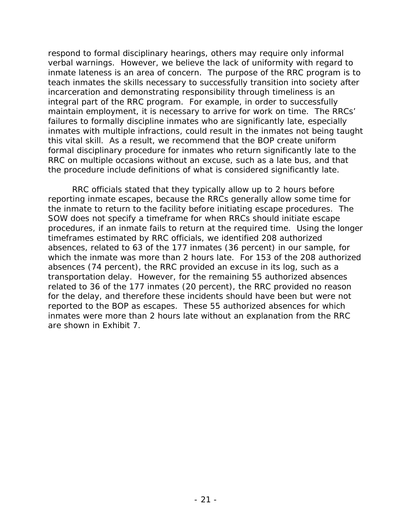respond to formal disciplinary hearings, others may require only informal verbal warnings. However, we believe the lack of uniformity with regard to inmate lateness is an area of concern. The purpose of the RRC program is to teach inmates the skills necessary to successfully transition into society after incarceration and demonstrating responsibility through timeliness is an integral part of the RRC program. For example, in order to successfully maintain employment, it is necessary to arrive for work on time. The RRCs' failures to formally discipline inmates who are significantly late, especially inmates with multiple infractions, could result in the inmates not being taught this vital skill. As a result, we recommend that the BOP create uniform formal disciplinary procedure for inmates who return significantly late to the RRC on multiple occasions without an excuse, such as a late bus, and that the procedure include definitions of what is considered significantly late.

RRC officials stated that they typically allow up to 2 hours before reporting inmate escapes, because the RRCs generally allow some time for the inmate to return to the facility before initiating escape procedures. The SOW does not specify a timeframe for when RRCs should initiate escape procedures, if an inmate fails to return at the required time. Using the longer timeframes estimated by RRC officials, we identified 208 authorized absences, related to 63 of the 177 inmates (36 percent) in our sample, for which the inmate was more than 2 hours late. For 153 of the 208 authorized absences (74 percent), the RRC provided an excuse in its log, such as a transportation delay. However, for the remaining 55 authorized absences related to 36 of the 177 inmates (20 percent), the RRC provided no reason for the delay, and therefore these incidents should have been but were not reported to the BOP as escapes. These 55 authorized absences for which inmates were more than 2 hours late without an explanation from the RRC are shown in Exhibit 7.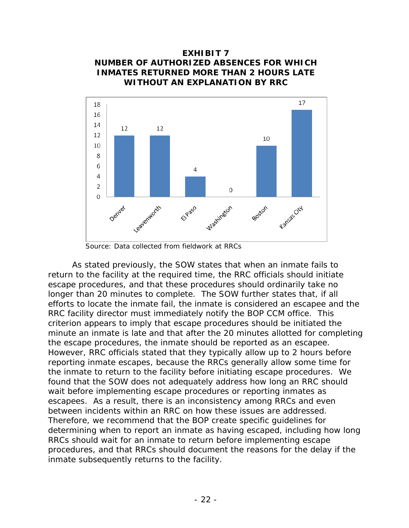## **EXHIBIT 7 NUMBER OF AUTHORIZED ABSENCES FOR WHICH INMATES RETURNED MORE THAN 2 HOURS LATE WITHOUT AN EXPLANATION BY RRC**



Source: Data collected from fieldwork at RRCs

As stated previously, the SOW states that when an inmate fails to return to the facility at the required time, the RRC officials should initiate escape procedures, and that these procedures should ordinarily take no longer than 20 minutes to complete. The SOW further states that, if all efforts to locate the inmate fail, the inmate is considered an escapee and the RRC facility director must immediately notify the BOP CCM office. This criterion appears to imply that escape procedures should be initiated the minute an inmate is late and that after the 20 minutes allotted for completing the escape procedures, the inmate should be reported as an escapee. However, RRC officials stated that they typically allow up to 2 hours before reporting inmate escapes, because the RRCs generally allow some time for the inmate to return to the facility before initiating escape procedures. We found that the SOW does not adequately address how long an RRC should wait before implementing escape procedures or reporting inmates as escapees. As a result, there is an inconsistency among RRCs and even between incidents within an RRC on how these issues are addressed. Therefore, we recommend that the BOP create specific guidelines for determining when to report an inmate as having escaped, including how long RRCs should wait for an inmate to return before implementing escape procedures, and that RRCs should document the reasons for the delay if the inmate subsequently returns to the facility.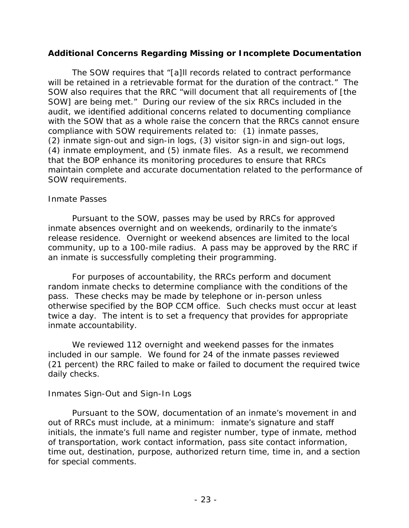## **Additional Concerns Regarding Missing or Incomplete Documentation**

The SOW requires that "[a]ll records related to contract performance will be retained in a retrievable format for the duration of the contract." The SOW also requires that the RRC "will document that all requirements of [the SOW] are being met." During our review of the six RRCs included in the audit, we identified additional concerns related to documenting compliance with the SOW that as a whole raise the concern that the RRCs cannot ensure compliance with SOW requirements related to: (1) inmate passes, (2) inmate sign-out and sign-in logs, (3) visitor sign-in and sign-out logs, (4) inmate employment, and (5) inmate files. As a result, we recommend that the BOP enhance its monitoring procedures to ensure that RRCs maintain complete and accurate documentation related to the performance of SOW requirements.

#### *Inmate Passes*

Pursuant to the SOW, passes may be used by RRCs for approved inmate absences overnight and on weekends, ordinarily to the inmate's release residence. Overnight or weekend absences are limited to the local community, up to a 100-mile radius. A pass may be approved by the RRC if an inmate is successfully completing their programming.

For purposes of accountability, the RRCs perform and document random inmate checks to determine compliance with the conditions of the pass. These checks may be made by telephone or in-person unless otherwise specified by the BOP CCM office. Such checks must occur at least twice a day. The intent is to set a frequency that provides for appropriate inmate accountability.

We reviewed 112 overnight and weekend passes for the inmates included in our sample. We found for 24 of the inmate passes reviewed (21 percent) the RRC failed to make or failed to document the required twice daily checks.

#### *Inmates Sign-Out and Sign-In Logs*

Pursuant to the SOW, documentation of an inmate's movement in and out of RRCs must include, at a minimum: inmate's signature and staff initials, the inmate's full name and register number, type of inmate, method of transportation, work contact information, pass site contact information, time out, destination, purpose, authorized return time, time in, and a section for special comments.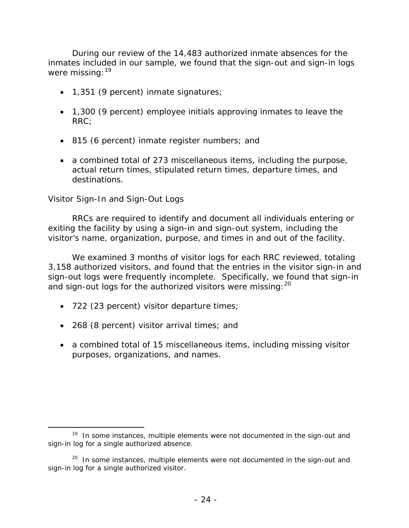During our review of the 14,483 authorized inmate absences for the inmates included in our sample, we found that the sign-out and sign-in logs were missing: <sup>19</sup>

- 1,351 (9 percent) inmate signatures;
- 1,300 (9 percent) employee initials approving inmates to leave the RRC;
- 815 (6 percent) inmate register numbers; and
- a combined total of 273 miscellaneous items, including the purpose, actual return times, stipulated return times, departure times, and destinations.

## *Visitor Sign-In and Sign-Out Logs*

 $\overline{a}$ 

RRCs are required to identify and document all individuals entering or exiting the facility by using a sign-in and sign-out system, including the visitor's name, organization, purpose, and times in and out of the facility.

and sign-out logs for the authorized visitors were missing:  $20$ We examined 3 months of visitor logs for each RRC reviewed, totaling 3,158 authorized visitors, and found that the entries in the visitor sign-in and sign-out logs were frequently incomplete. Specifically, we found that sign-in

- 722 (23 percent) visitor departure times;
- 268 (8 percent) visitor arrival times; and
- a combined total of 15 miscellaneous items, including missing visitor purposes, organizations, and names.

 $19$  In some instances, multiple elements were not documented in the sign-out and sign-in log for a single authorized absence.

 $20$  In some instances, multiple elements were not documented in the sign-out and sign-in log for a single authorized visitor.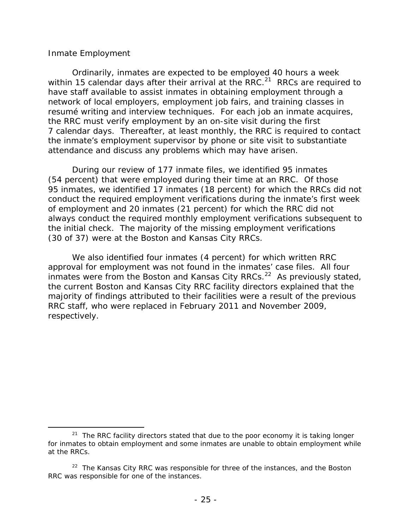#### *Inmate Employment*

 $\overline{a}$ 

Ordinarily, inmates are expected to be employed 40 hours a week within 15 calendar days after their arrival at the RRC.<sup>21</sup> RRCs are required to have staff available to assist inmates in obtaining employment through a network of local employers, employment job fairs, and training classes in resumé writing and interview techniques. For each job an inmate acquires, the RRC must verify employment by an on-site visit during the first 7 calendar days. Thereafter, at least monthly, the RRC is required to contact the inmate's employment supervisor by phone or site visit to substantiate attendance and discuss any problems which may have arisen.

During our review of 177 inmate files, we identified 95 inmates (54 percent) that were employed during their time at an RRC. Of those 95 inmates, we identified 17 inmates (18 percent) for which the RRCs did not conduct the required employment verifications during the inmate's first week of employment and 20 inmates (21 percent) for which the RRC did not always conduct the required monthly employment verifications subsequent to the initial check. The majority of the missing employment verifications (30 of 37) were at the Boston and Kansas City RRCs.

We also identified four inmates (4 percent) for which written RRC approval for employment was not found in the inmates' case files. All four inmates were from the Boston and Kansas City RRCs.<sup>22</sup> As previously stated, the current Boston and Kansas City RRC facility directors explained that the majority of findings attributed to their facilities were a result of the previous RRC staff, who were replaced in February 2011 and November 2009, respectively.

 $21$  The RRC facility directors stated that due to the poor economy it is taking longer for inmates to obtain employment and some inmates are unable to obtain employment while at the RRCs.

 $22$  The Kansas City RRC was responsible for three of the instances, and the Boston RRC was responsible for one of the instances.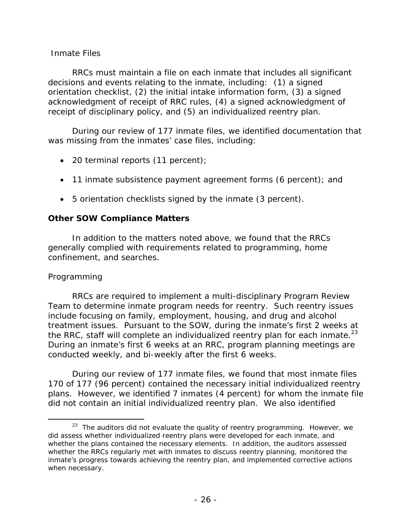## *Inmate Files*

RRCs must maintain a file on each inmate that includes all significant decisions and events relating to the inmate, including: (1) a signed orientation checklist, (2) the initial intake information form, (3) a signed acknowledgment of receipt of RRC rules, (4) a signed acknowledgment of receipt of disciplinary policy, and (5) an individualized reentry plan.

During our review of 177 inmate files, we identified documentation that was missing from the inmates' case files, including:

- 20 terminal reports (11 percent);
- 11 inmate subsistence payment agreement forms (6 percent); and
- 5 orientation checklists signed by the inmate (3 percent).

### **Other SOW Compliance Matters**

In addition to the matters noted above, we found that the RRCs generally complied with requirements related to programming, home confinement, and searches.

## *Programming*

 $\overline{a}$ 

the RRC, staff will complete an individualized reentry plan for each inmate. $^{23}$ RRCs are required to implement a multi-disciplinary Program Review Team to determine inmate program needs for reentry. Such reentry issues include focusing on family, employment, housing, and drug and alcohol treatment issues. Pursuant to the SOW, during the inmate's first 2 weeks at During an inmate's first 6 weeks at an RRC, program planning meetings are conducted weekly, and bi-weekly after the first 6 weeks.

During our review of 177 inmate files, we found that most inmate files 170 of 177 (96 percent) contained the necessary initial individualized reentry plans. However, we identified 7 inmates (4 percent) for whom the inmate file did not contain an initial individualized reentry plan. We also identified

 $23$  The auditors did not evaluate the quality of reentry programming. However, we did assess whether individualized reentry plans were developed for each inmate, and whether the plans contained the necessary elements. In addition, the auditors assessed whether the RRCs regularly met with inmates to discuss reentry planning, monitored the inmate's progress towards achieving the reentry plan, and implemented corrective actions when necessary.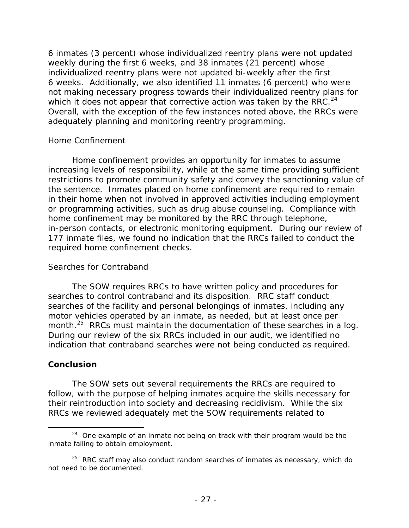which it does not appear that corrective action was taken by the RRC. $^{24}$ 6 inmates (3 percent) whose individualized reentry plans were not updated weekly during the first 6 weeks, and 38 inmates (21 percent) whose individualized reentry plans were not updated bi-weekly after the first 6 weeks. Additionally, we also identified 11 inmates (6 percent) who were not making necessary progress towards their individualized reentry plans for Overall, with the exception of the few instances noted above, the RRCs were adequately planning and monitoring reentry programming.

## *Home Confinement*

Home confinement provides an opportunity for inmates to assume increasing levels of responsibility, while at the same time providing sufficient restrictions to promote community safety and convey the sanctioning value of the sentence. Inmates placed on home confinement are required to remain in their home when not involved in approved activities including employment or programming activities, such as drug abuse counseling. Compliance with home confinement may be monitored by the RRC through telephone, in-person contacts, or electronic monitoring equipment. During our review of 177 inmate files, we found no indication that the RRCs failed to conduct the required home confinement checks.

## *Searches for Contraband*

The SOW requires RRCs to have written policy and procedures for searches to control contraband and its disposition. RRC staff conduct searches of the facility and personal belongings of inmates, including any motor vehicles operated by an inmate, as needed, but at least once per month.<sup>25</sup> RRCs must maintain the documentation of these searches in a log. During our review of the six RRCs included in our audit, we identified no indication that contraband searches were not being conducted as required.

## **Conclusion**

The SOW sets out several requirements the RRCs are required to follow, with the purpose of helping inmates acquire the skills necessary for their reintroduction into society and decreasing recidivism. While the six RRCs we reviewed adequately met the SOW requirements related to

inmate failing to obtain employment.  $24$  One example of an inmate not being on track with their program would be the

not need to be documented.  $125$  RRC staff may also conduct random searches of inmates as necessary, which do not need to be documented.<br>- 27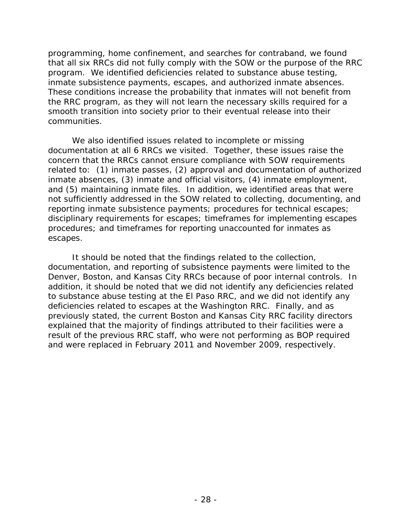programming, home confinement, and searches for contraband, we found that all six RRCs did not fully comply with the SOW or the purpose of the RRC program. We identified deficiencies related to substance abuse testing, inmate subsistence payments, escapes, and authorized inmate absences. These conditions increase the probability that inmates will not benefit from the RRC program, as they will not learn the necessary skills required for a smooth transition into society prior to their eventual release into their communities.

We also identified issues related to incomplete or missing documentation at all 6 RRCs we visited. Together, these issues raise the concern that the RRCs cannot ensure compliance with SOW requirements related to: (1) inmate passes, (2) approval and documentation of authorized inmate absences, (3) inmate and official visitors, (4) inmate employment, and (5) maintaining inmate files. In addition, we identified areas that were not sufficiently addressed in the SOW related to collecting, documenting, and reporting inmate subsistence payments; procedures for technical escapes; disciplinary requirements for escapes; timeframes for implementing escapes procedures; and timeframes for reporting unaccounted for inmates as escapes.

It should be noted that the findings related to the collection, documentation, and reporting of subsistence payments were limited to the Denver, Boston, and Kansas City RRCs because of poor internal controls. In addition, it should be noted that we did not identify any deficiencies related to substance abuse testing at the El Paso RRC, and we did not identify any deficiencies related to escapes at the Washington RRC. Finally, and as previously stated, the current Boston and Kansas City RRC facility directors explained that the majority of findings attributed to their facilities were a result of the previous RRC staff, who were not performing as BOP required and were replaced in February 2011 and November 2009, respectively.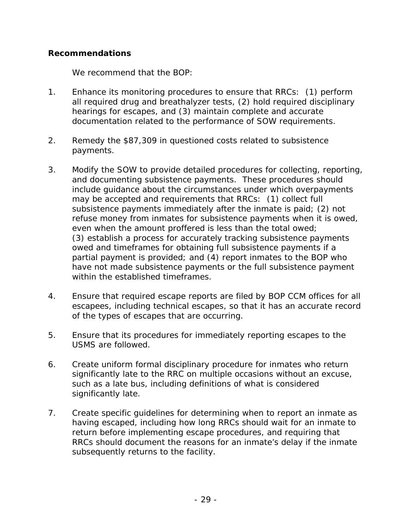## **Recommendations**

We recommend that the BOP:

- 1. Enhance its monitoring procedures to ensure that RRCs: (1) perform all required drug and breathalyzer tests, (2) hold required disciplinary hearings for escapes, and (3) maintain complete and accurate documentation related to the performance of SOW requirements.
- 2. Remedy the \$87,309 in questioned costs related to subsistence payments.
- 3. Modify the SOW to provide detailed procedures for collecting, reporting, and documenting subsistence payments. These procedures should include guidance about the circumstances under which overpayments may be accepted and requirements that RRCs: (1) collect full subsistence payments immediately after the inmate is paid; (2) not refuse money from inmates for subsistence payments when it is owed, even when the amount proffered is less than the total owed; (3) establish a process for accurately tracking subsistence payments owed and timeframes for obtaining full subsistence payments if a partial payment is provided; and (4) report inmates to the BOP who have not made subsistence payments or the full subsistence payment within the established timeframes.
- 4. Ensure that required escape reports are filed by BOP CCM offices for all escapees, including technical escapes, so that it has an accurate record of the types of escapes that are occurring.
- 5. Ensure that its procedures for immediately reporting escapes to the USMS are followed.
- 6. Create uniform formal disciplinary procedure for inmates who return significantly late to the RRC on multiple occasions without an excuse, such as a late bus, including definitions of what is considered significantly late.
- 7. Create specific quidelines for determining when to report an inmate as having escaped, including how long RRCs should wait for an inmate to return before implementing escape procedures, and requiring that RRCs should document the reasons for an inmate's delay if the inmate subsequently returns to the facility.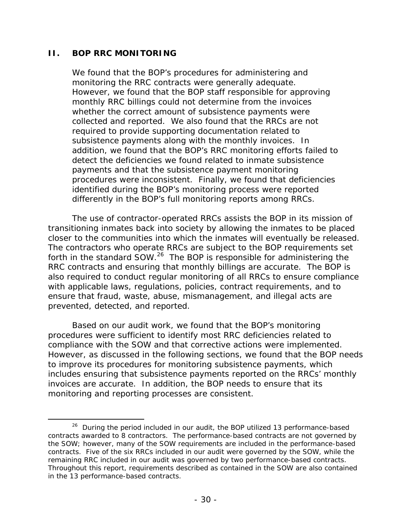## **II. BOP RRC MONITORING**

 $\overline{a}$ 

We found that the BOP's procedures for administering and monitoring the RRC contracts were generally adequate. However, we found that the BOP staff responsible for approving monthly RRC billings could not determine from the invoices whether the correct amount of subsistence payments were collected and reported. We also found that the RRCs are not required to provide supporting documentation related to subsistence payments along with the monthly invoices. In addition, we found that the BOP's RRC monitoring efforts failed to detect the deficiencies we found related to inmate subsistence payments and that the subsistence payment monitoring procedures were inconsistent. Finally, we found that deficiencies identified during the BOP's monitoring process were reported differently in the BOP's full monitoring reports among RRCs.

closer to the communities into which the inmates will eventually be released.<br>The contractors who operate RRCs are subject to the BOP requirements set The use of contractor-operated RRCs assists the BOP in its mission of transitioning inmates back into society by allowing the inmates to be placed forth in the standard SOW.<sup>26</sup> The BOP is responsible for administering the RRC contracts and ensuring that monthly billings are accurate. The BOP is also required to conduct regular monitoring of all RRCs to ensure compliance with applicable laws, regulations, policies, contract requirements, and to ensure that fraud, waste, abuse, mismanagement, and illegal acts are prevented, detected, and reported.

Based on our audit work, we found that the BOP's monitoring procedures were sufficient to identify most RRC deficiencies related to compliance with the SOW and that corrective actions were implemented. However, as discussed in the following sections, we found that the BOP needs to improve its procedures for monitoring subsistence payments, which includes ensuring that subsistence payments reported on the RRCs' monthly invoices are accurate. In addition, the BOP needs to ensure that its monitoring and reporting processes are consistent.

 contracts. Five of the six RRCs included in our audit were governed by the SOW, while the <sup>26</sup> During the period included in our audit, the BOP utilized 13 performance-based contracts awarded to 8 contractors. The performance-based contracts are not governed by the SOW; however, many of the SOW requirements are included in the performance-based remaining RRC included in our audit was governed by two performance-based contracts. Throughout this report, requirements described as contained in the SOW are also contained in the 13 performance-based contracts.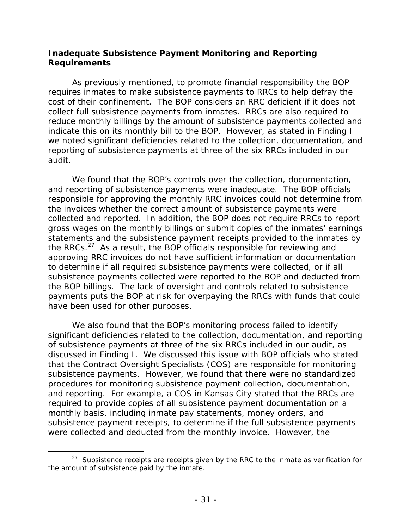## **Inadequate Subsistence Payment Monitoring and Reporting Requirements**

As previously mentioned, to promote financial responsibility the BOP requires inmates to make subsistence payments to RRCs to help defray the cost of their confinement. The BOP considers an RRC deficient if it does not collect full subsistence payments from inmates. RRCs are also required to reduce monthly billings by the amount of subsistence payments collected and indicate this on its monthly bill to the BOP. However, as stated in Finding I we noted significant deficiencies related to the collection, documentation, and reporting of subsistence payments at three of the six RRCs included in our audit.

We found that the BOP's controls over the collection, documentation, and reporting of subsistence payments were inadequate. The BOP officials responsible for approving the monthly RRC invoices could not determine from the invoices whether the correct amount of subsistence payments were collected and reported. In addition, the BOP does not require RRCs to report gross wages on the monthly billings or submit copies of the inmates' earnings statements and the subsistence payment receipts provided to the inmates by the RRCs.<sup>27</sup> As a result, the BOP officials responsible for reviewing and approving RRC invoices do not have sufficient information or documentation to determine if all required subsistence payments were collected, or if all subsistence payments collected were reported to the BOP and deducted from the BOP billings. The lack of oversight and controls related to subsistence payments puts the BOP at risk for overpaying the RRCs with funds that could have been used for other purposes.

We also found that the BOP's monitoring process failed to identify significant deficiencies related to the collection, documentation, and reporting of subsistence payments at three of the six RRCs included in our audit, as discussed in Finding I. We discussed this issue with BOP officials who stated that the Contract Oversight Specialists (COS) are responsible for monitoring subsistence payments. However, we found that there were no standardized procedures for monitoring subsistence payment collection, documentation, and reporting. For example, a COS in Kansas City stated that the RRCs are required to provide copies of all subsistence payment documentation on a monthly basis, including inmate pay statements, money orders, and subsistence payment receipts, to determine if the full subsistence payments were collected and deducted from the monthly invoice. However, the

-

 $27$  Subsistence receipts are receipts given by the RRC to the inmate as verification for the amount of subsistence paid by the inmate.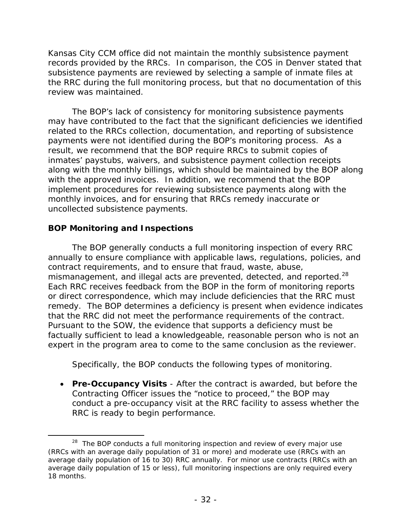Kansas City CCM office did not maintain the monthly subsistence payment records provided by the RRCs. In comparison, the COS in Denver stated that subsistence payments are reviewed by selecting a sample of inmate files at the RRC during the full monitoring process, but that no documentation of this review was maintained.

The BOP's lack of consistency for monitoring subsistence payments may have contributed to the fact that the significant deficiencies we identified related to the RRCs collection, documentation, and reporting of subsistence payments were not identified during the BOP's monitoring process. As a result, we recommend that the BOP require RRCs to submit copies of inmates' paystubs, waivers, and subsistence payment collection receipts along with the monthly billings, which should be maintained by the BOP along with the approved invoices. In addition, we recommend that the BOP implement procedures for reviewing subsistence payments along with the monthly invoices, and for ensuring that RRCs remedy inaccurate or uncollected subsistence payments.

## **BOP Monitoring and Inspections**

mismanagement, and illegal acts are prevented, detected, and reported. $^{28}$ The BOP generally conducts a full monitoring inspection of every RRC annually to ensure compliance with applicable laws, regulations, policies, and contract requirements, and to ensure that fraud, waste, abuse, Each RRC receives feedback from the BOP in the form of monitoring reports or direct correspondence, which may include deficiencies that the RRC must remedy. The BOP determines a deficiency is present when evidence indicates that the RRC did not meet the performance requirements of the contract. Pursuant to the SOW, the evidence that supports a deficiency must be factually sufficient to lead a knowledgeable, reasonable person who is not an expert in the program area to come to the same conclusion as the reviewer.

Specifically, the BOP conducts the following types of monitoring.

 **Pre-Occupancy Visits** - After the contract is awarded, but before the Contracting Officer issues the "notice to proceed," the BOP may conduct a pre-occupancy visit at the RRC facility to assess whether the RRC is ready to begin performance.

 $\overline{a}$  (RRCs with an average daily population of 31 or more) and moderate use (RRCs with an 18 months. <sup>28</sup> The BOP conducts a full monitoring inspection and review of every major use average daily population of 16 to 30) RRC annually. For minor use contracts (RRCs with an average daily population of 15 or less), full monitoring inspections are only required every 18 months.<br> $-32$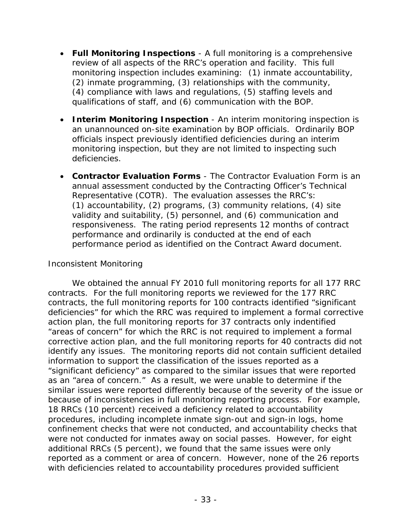- **Full Monitoring Inspections** A full monitoring is a comprehensive review of all aspects of the RRC's operation and facility. This full monitoring inspection includes examining: (1) inmate accountability, (2) inmate programming, (3) relationships with the community, (4) compliance with laws and regulations, (5) staffing levels and qualifications of staff, and (6) communication with the BOP.
- **Interim Monitoring Inspection** An interim monitoring inspection is an unannounced on-site examination by BOP officials. Ordinarily BOP officials inspect previously identified deficiencies during an interim monitoring inspection, but they are not limited to inspecting such deficiencies.
- **Contractor Evaluation Forms** The Contractor Evaluation Form is an annual assessment conducted by the Contracting Officer's Technical Representative (COTR). The evaluation assesses the RRC's: (1) accountability, (2) programs, (3) community relations, (4) site validity and suitability, (5) personnel, and (6) communication and responsiveness. The rating period represents 12 months of contract performance and ordinarily is conducted at the end of each performance period as identified on the Contract Award document.

## *Inconsistent Monitoring*

We obtained the annual FY 2010 full monitoring reports for all 177 RRC contracts. For the full monitoring reports we reviewed for the 177 RRC contracts, the full monitoring reports for 100 contracts identified "significant deficiencies" for which the RRC was required to implement a formal corrective action plan, the full monitoring reports for 37 contracts only indentified "areas of concern" for which the RRC is not required to implement a formal corrective action plan, and the full monitoring reports for 40 contracts did not identify any issues. The monitoring reports did not contain sufficient detailed information to support the classification of the issues reported as a "significant deficiency" as compared to the similar issues that were reported as an "area of concern." As a result, we were unable to determine if the similar issues were reported differently because of the severity of the issue or because of inconsistencies in full monitoring reporting process. For example, 18 RRCs (10 percent) received a deficiency related to accountability procedures, including incomplete inmate sign-out and sign-in logs, home confinement checks that were not conducted, and accountability checks that were not conducted for inmates away on social passes. However, for eight additional RRCs (5 percent), we found that the same issues were only reported as a comment or area of concern. However, none of the 26 reports with deficiencies related to accountability procedures provided sufficient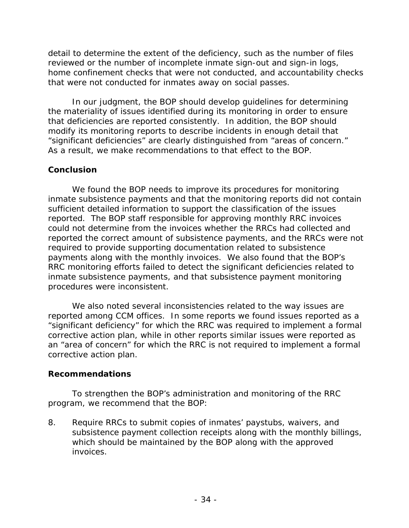detail to determine the extent of the deficiency, such as the number of files reviewed or the number of incomplete inmate sign-out and sign-in logs, home confinement checks that were not conducted, and accountability checks that were not conducted for inmates away on social passes.

In our judgment, the BOP should develop guidelines for determining the materiality of issues identified during its monitoring in order to ensure that deficiencies are reported consistently. In addition, the BOP should modify its monitoring reports to describe incidents in enough detail that "significant deficiencies" are clearly distinguished from "areas of concern." As a result, we make recommendations to that effect to the BOP.

## **Conclusion**

procedures were inconsistent. We found the BOP needs to improve its procedures for monitoring inmate subsistence payments and that the monitoring reports did not contain sufficient detailed information to support the classification of the issues reported. The BOP staff responsible for approving monthly RRC invoices could not determine from the invoices whether the RRCs had collected and reported the correct amount of subsistence payments, and the RRCs were not required to provide supporting documentation related to subsistence payments along with the monthly invoices. We also found that the BOP's RRC monitoring efforts failed to detect the significant deficiencies related to inmate subsistence payments, and that subsistence payment monitoring

We also noted several inconsistencies related to the way issues are reported among CCM offices. In some reports we found issues reported as a "significant deficiency" for which the RRC was required to implement a formal corrective action plan, while in other reports similar issues were reported as an "area of concern" for which the RRC is not required to implement a formal corrective action plan.

## **Recommendations**

To strengthen the BOP's administration and monitoring of the RRC program, we recommend that the BOP:

8. Require RRCs to submit copies of inmates' paystubs, waivers, and subsistence payment collection receipts along with the monthly billings, which should be maintained by the BOP along with the approved invoices.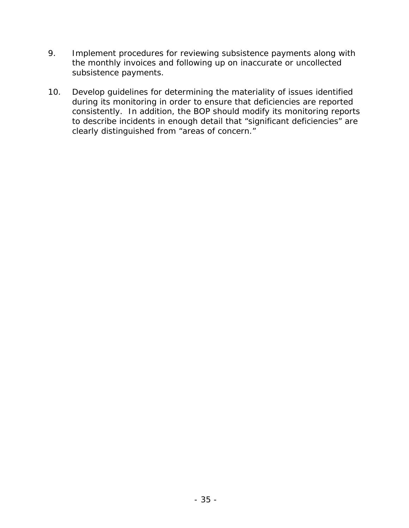- 9. Implement procedures for reviewing subsistence payments along with the monthly invoices and following up on inaccurate or uncollected subsistence payments.
- 10. Develop guidelines for determining the materiality of issues identified during its monitoring in order to ensure that deficiencies are reported consistently. In addition, the BOP should modify its monitoring reports to describe incidents in enough detail that "significant deficiencies" are clearly distinguished from "areas of concern."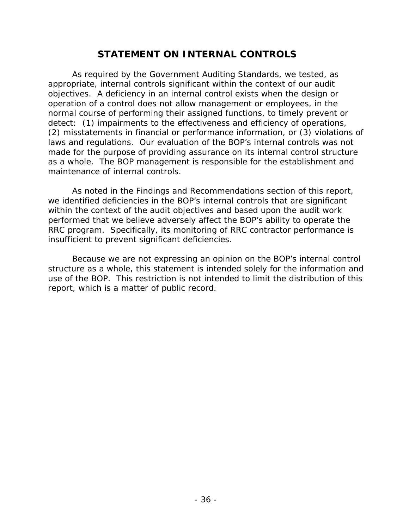## **STATEMENT ON INTERNAL CONTROLS**

As required by the *Government Auditing Standards*, we tested, as appropriate, internal controls significant within the context of our audit objectives. A deficiency in an internal control exists when the design or operation of a control does not allow management or employees, in the normal course of performing their assigned functions, to timely prevent or detect: (1) impairments to the effectiveness and efficiency of operations, (2) misstatements in financial or performance information, or (3) violations of laws and regulations. Our evaluation of the BOP's internal controls was *not*  made for the purpose of providing assurance on its internal control structure as a whole. The BOP management is responsible for the establishment and maintenance of internal controls.

As noted in the Findings and Recommendations section of this report, we identified deficiencies in the BOP's internal controls that are significant within the context of the audit objectives and based upon the audit work performed that we believe adversely affect the BOP's ability to operate the RRC program. Specifically, its monitoring of RRC contractor performance is insufficient to prevent significant deficiencies.

Because we are not expressing an opinion on the BOP's internal control structure as a whole, this statement is intended solely for the information and use of the BOP. This restriction is not intended to limit the distribution of this report, which is a matter of public record.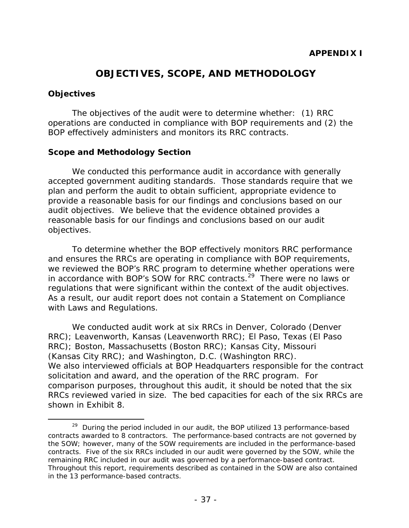# **OBJECTIVES, SCOPE, AND METHODOLOGY**

## **Objectives**

 $\overline{a}$ 

The objectives of the audit were to determine whether: (1) RRC operations are conducted in compliance with BOP requirements and (2) the BOP effectively administers and monitors its RRC contracts.

## **Scope and Methodology Section**

We conducted this performance audit in accordance with generally accepted government auditing standards. Those standards require that we plan and perform the audit to obtain sufficient, appropriate evidence to provide a reasonable basis for our findings and conclusions based on our audit objectives. We believe that the evidence obtained provides a reasonable basis for our findings and conclusions based on our audit objectives.

To determine whether the BOP effectively monitors RRC performance and ensures the RRCs are operating in compliance with BOP requirements, we reviewed the BOP's RRC program to determine whether operations were in accordance with BOP's SOW for RRC contracts.<sup>29</sup> There were no laws or regulations that were significant within the context of the audit objectives. As a result, our audit report does not contain a Statement on Compliance with Laws and Regulations.

We conducted audit work at six RRCs in Denver, Colorado (Denver RRC); Leavenworth, Kansas (Leavenworth RRC); El Paso, Texas (El Paso RRC); Boston, Massachusetts (Boston RRC); Kansas City, Missouri (Kansas City RRC); and Washington, D.C. (Washington RRC). We also interviewed officials at BOP Headquarters responsible for the contract solicitation and award, and the operation of the RRC program. For comparison purposes, throughout this audit, it should be noted that the six RRCs reviewed varied in size. The bed capacities for each of the six RRCs are shown in Exhibit 8.

 contracts. Five of the six RRCs included in our audit were governed by the SOW, while the  $29$  During the period included in our audit, the BOP utilized 13 performance-based contracts awarded to 8 contractors. The performance-based contracts are not governed by the SOW; however, many of the SOW requirements are included in the performance-based remaining RRC included in our audit was governed by a performance-based contract. Throughout this report, requirements described as contained in the SOW are also contained in the 13 performance-based contracts.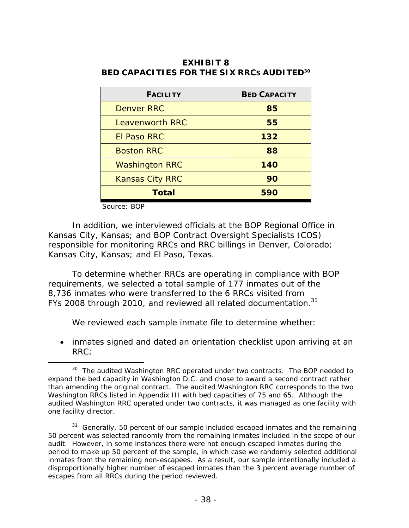| <b>FACILITY</b>        | <b>BED CAPACITY</b> |  |
|------------------------|---------------------|--|
| <b>Denver RRC</b>      | 85                  |  |
| Leavenworth RRC        | 55                  |  |
| <b>El Paso RRC</b>     | 132                 |  |
| <b>Boston RRC</b>      | 88                  |  |
| <b>Washington RRC</b>  | 140                 |  |
| <b>Kansas City RRC</b> | 90                  |  |
| Total                  | 590                 |  |

## **BED CAPACITIES FOR THE SIX RRCS AUDITED30 EXHIBIT 8**

Source: BOP

-

In addition, we interviewed officials at the BOP Regional Office in Kansas City, Kansas; and BOP Contract Oversight Specialists (COS) responsible for monitoring RRCs and RRC billings in Denver, Colorado; Kansas City, Kansas; and El Paso, Texas.

FYs 2008 through 2010, and reviewed all related documentation. $31$ To determine whether RRCs are operating in compliance with BOP requirements, we selected a total sample of 177 inmates out of the 8,736 inmates who were transferred to the 6 RRCs visited from

We reviewed each sample inmate file to determine whether:

 inmates signed and dated an orientation checklist upon arriving at an RRC;

 $30$  The audited Washington RRC operated under two contracts. The BOP needed to expand the bed capacity in Washington D.C. and chose to award a second contract rather than amending the original contract. The audited Washington RRC corresponds to the two Washington RRCs listed in Appendix III with bed capacities of 75 and 65. Although the audited Washington RRC operated under two contracts, it was managed as one facility with one facility director.

 $31$  Generally, 50 percent of our sample included escaped inmates and the remaining 50 percent was selected randomly from the remaining inmates included in the scope of our audit. However, in some instances there were not enough escaped inmates during the period to make up 50 percent of the sample, in which case we randomly selected additional inmates from the remaining non-escapees. As a result, our sample intentionally included a disproportionally higher number of escaped inmates than the 3 percent average number of escapes from all RRCs during the period reviewed.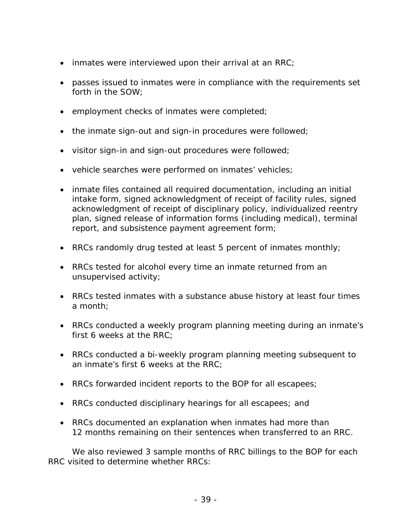- $\bullet$  inmates were interviewed upon their arrival at an RRC;
- passes issued to inmates were in compliance with the requirements set forth in the SOW;
- **•** employment checks of inmates were completed;
- the inmate sign-out and sign-in procedures were followed;
- $\bullet$  visitor sign-in and sign-out procedures were followed;
- vehicle searches were performed on inmates' vehicles;
- inmate files contained all required documentation, including an initial intake form, signed acknowledgment of receipt of facility rules, signed acknowledgment of receipt of disciplinary policy, individualized reentry plan, signed release of information forms (including medical), terminal report, and subsistence payment agreement form;
- RRCs randomly drug tested at least 5 percent of inmates monthly;
- RRCs tested for alcohol every time an inmate returned from an unsupervised activity;
- RRCs tested inmates with a substance abuse history at least four times a month;
- RRCs conducted a weekly program planning meeting during an inmate's first 6 weeks at the RRC;
- RRCs conducted a bi-weekly program planning meeting subsequent to an inmate's first 6 weeks at the RRC;
- RRCs forwarded incident reports to the BOP for all escapees;
- RRCs conducted disciplinary hearings for all escapees; and
- RRCs documented an explanation when inmates had more than 12 months remaining on their sentences when transferred to an RRC.

We also reviewed 3 sample months of RRC billings to the BOP for each RRC visited to determine whether RRCs: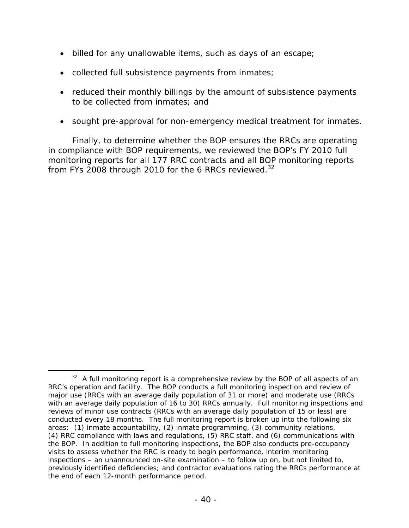- billed for any unallowable items, such as days of an escape;
- collected full subsistence payments from inmates;
- reduced their monthly billings by the amount of subsistence payments to be collected from inmates; and
- sought pre-approval for non-emergency medical treatment for inmates.

from FYs 2008 through 2010 for the 6 RRCs reviewed. $32$ Finally, to determine whether the BOP ensures the RRCs are operating in compliance with BOP requirements, we reviewed the BOP's FY 2010 full monitoring reports for all 177 RRC contracts and all BOP monitoring reports

 $\overline{a}$ 

 $32$  A full monitoring report is a comprehensive review by the BOP of all aspects of an RRC's operation and facility. The BOP conducts a full monitoring inspection and review of major use (RRCs with an average daily population of 31 or more) and moderate use (RRCs with an average daily population of 16 to 30) RRCs annually. Full monitoring inspections and reviews of minor use contracts (RRCs with an average daily population of 15 or less) are conducted every 18 months. The full monitoring report is broken up into the following six areas: (1) inmate accountability, (2) inmate programming, (3) community relations, (4) RRC compliance with laws and regulations, (5) RRC staff, and (6) communications with the BOP. In addition to full monitoring inspections, the BOP also conducts pre-occupancy visits to assess whether the RRC is ready to begin performance, interim monitoring inspections – an unannounced on-site examination – to follow up on, but not limited to, previously identified deficiencies; and contractor evaluations rating the RRCs performance at the end of each 12-month performance period.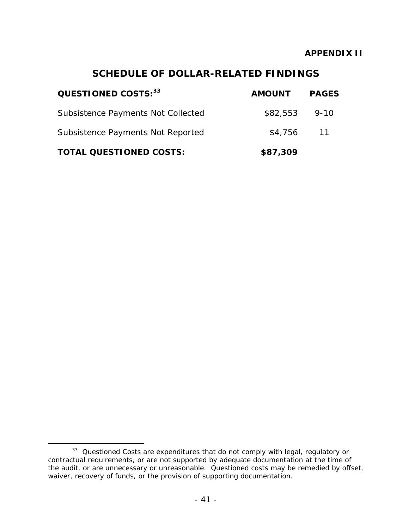# **SCHEDULE OF DOLLAR-RELATED FINDINGS**

| QUESTIONED COSTS: 33               | <b>AMOUNT</b>  | <b>PAGES</b>    |
|------------------------------------|----------------|-----------------|
| Subsistence Payments Not Collected | $$82,553$ 9-10 |                 |
| Subsistence Payments Not Reported  | \$4,756        | $\overline{11}$ |
| <b>TOTAL QUESTIONED COSTS:</b>     | \$87,309       |                 |

 $\overline{a}$ 

 <sup>33</sup>*Questioned Costs* are expenditures that do not comply with legal, regulatory or contractual requirements, or are not supported by adequate documentation at the time of the audit, or are unnecessary or unreasonable. Questioned costs may be remedied by offset, waiver, recovery of funds, or the provision of supporting documentation.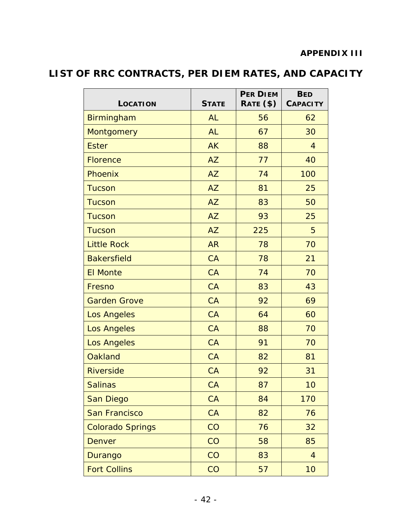## **APPENDIX III**

# **LIST OF RRC CONTRACTS, PER DIEM RATES, AND CAPACITY**

| LOCATION                | <b>STATE</b> | <b>PER DIEM</b><br>RATE (\$) | <b>BED</b><br><b>CAPACITY</b> |
|-------------------------|--------------|------------------------------|-------------------------------|
| Birmingham              | <b>AL</b>    | 56                           | 62                            |
| <b>Montgomery</b>       | <b>AL</b>    | 67                           | 30                            |
| <b>Ester</b>            | <b>AK</b>    | 88                           | $\overline{4}$                |
| <b>Florence</b>         | <b>AZ</b>    | 77                           | 40                            |
| Phoenix                 | <b>AZ</b>    | 74                           | 100                           |
| <b>Tucson</b>           | <b>AZ</b>    | 81                           | 25                            |
| <b>Tucson</b>           | <b>AZ</b>    | 83                           | 50                            |
| <b>Tucson</b>           | <b>AZ</b>    | 93                           | 25                            |
| <b>Tucson</b>           | <b>AZ</b>    | 225                          | 5                             |
| <b>Little Rock</b>      | <b>AR</b>    | 78                           | 70                            |
| <b>Bakersfield</b>      | <b>CA</b>    | 78                           | 21                            |
| <b>El Monte</b>         | <b>CA</b>    | 74                           | 70                            |
| Fresno                  | <b>CA</b>    | 83                           | 43                            |
| <b>Garden Grove</b>     | <b>CA</b>    | 92                           | 69                            |
| <b>Los Angeles</b>      | <b>CA</b>    | 64                           | 60                            |
| Los Angeles             | <b>CA</b>    | 88                           | 70                            |
| <b>Los Angeles</b>      | <b>CA</b>    | 91                           | 70                            |
| <b>Oakland</b>          | <b>CA</b>    | 82                           | 81                            |
| <b>Riverside</b>        | <b>CA</b>    | 92                           | 31                            |
| <b>Salinas</b>          | CA           | 87                           | 10                            |
| San Diego               | <b>CA</b>    | 84                           | 170                           |
| <b>San Francisco</b>    | CA           | 82                           | 76                            |
| <b>Colorado Springs</b> | CO           | 76                           | 32                            |
| <b>Denver</b>           | CO           | 58                           | 85                            |
| Durango                 | CO           | 83                           | $\overline{4}$                |
| <b>Fort Collins</b>     | CO           | 57                           | 10                            |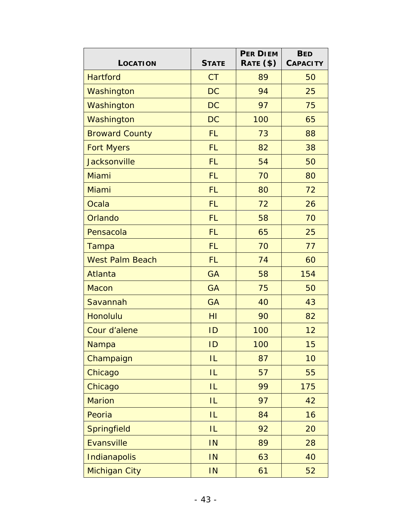| <b>LOCATION</b>        | <b>STATE</b> | <b>PER DIEM</b><br>RATE (\$) | <b>BED</b><br><b>CAPACITY</b> |
|------------------------|--------------|------------------------------|-------------------------------|
| <b>Hartford</b>        | <b>CT</b>    | 89                           | 50                            |
| Washington             | <b>DC</b>    | 94                           | 25                            |
| Washington             | <b>DC</b>    | 97                           | 75                            |
| Washington             | <b>DC</b>    | 100                          | 65                            |
| <b>Broward County</b>  | <b>FL</b>    | 73                           | 88                            |
| <b>Fort Myers</b>      | <b>FL</b>    | 82                           | 38                            |
| <b>Jacksonville</b>    | <b>FL</b>    | 54                           | 50                            |
| Miami                  | <b>FL</b>    | 70                           | 80                            |
| Miami                  | <b>FL</b>    | 80                           | 72                            |
| Ocala                  | <b>FL</b>    | 72                           | 26                            |
| Orlando                | <b>FL</b>    | 58                           | 70                            |
| Pensacola              | <b>FL</b>    | 65                           | 25                            |
| Tampa                  | <b>FL</b>    | 70                           | 77                            |
| <b>West Palm Beach</b> | <b>FL</b>    | 74                           | 60                            |
| Atlanta                | <b>GA</b>    | 58                           | 154                           |
| <b>Macon</b>           | <b>GA</b>    | 75                           | 50                            |
| Savannah               | <b>GA</b>    | 40                           | 43                            |
| <b>Honolulu</b>        | HI           | 90                           | 82                            |
| Cour d'alene           | ID           | 100                          | 12                            |
| Nampa                  | ID           | 100                          | 15                            |
| Champaign              | IL           | 87                           | 10                            |
| Chicago                | IL           | 57                           | 55                            |
| Chicago                | IL           | 99                           | 175                           |
| <b>Marion</b>          | IL           | 97                           | 42                            |
| Peoria                 | IL           | 84                           | 16                            |
| Springfield            | IL           | 92                           | 20                            |
| Evansville             | IN           | 89                           | 28                            |
| Indianapolis           | IN           | 63                           | 40                            |
| <b>Michigan City</b>   | IN           | 61                           | 52                            |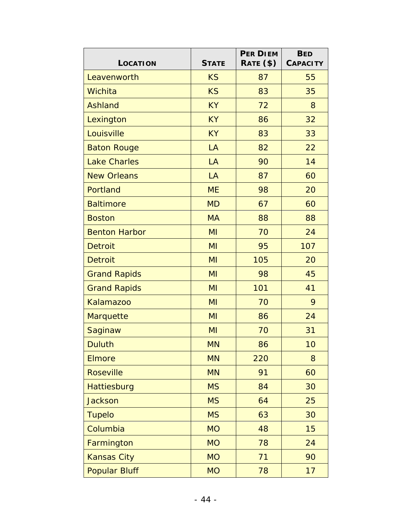| <b>LOCATION</b>      | <b>STATE</b> | <b>PER DIEM</b><br>RATE (\$) | <b>BED</b><br><b>CAPACITY</b> |
|----------------------|--------------|------------------------------|-------------------------------|
| Leavenworth          | <b>KS</b>    | 87                           | 55                            |
| Wichita              | <b>KS</b>    | 83                           | 35                            |
| <b>Ashland</b>       | <b>KY</b>    | 72                           | 8                             |
| Lexington            | <b>KY</b>    | 86                           | 32                            |
| Louisville           | <b>KY</b>    | 83                           | 33                            |
| <b>Baton Rouge</b>   | LA           | 82                           | 22                            |
| <b>Lake Charles</b>  | LA           | 90                           | 14                            |
| <b>New Orleans</b>   | LA           | 87                           | 60                            |
| Portland             | <b>ME</b>    | 98                           | 20                            |
| <b>Baltimore</b>     | <b>MD</b>    | 67                           | 60                            |
| <b>Boston</b>        | <b>MA</b>    | 88                           | 88                            |
| <b>Benton Harbor</b> | MI           | 70                           | 24                            |
| <b>Detroit</b>       | MI           | 95                           | 107                           |
| <b>Detroit</b>       | MI           | 105                          | 20                            |
| <b>Grand Rapids</b>  | MI           | 98                           | 45                            |
| <b>Grand Rapids</b>  | MI           | 101                          | 41                            |
| <b>Kalamazoo</b>     | MI           | 70                           | 9                             |
| Marquette            | MI           | 86                           | 24                            |
| Saginaw              | MI           | 70                           | 31                            |
| <b>Duluth</b>        | <b>MN</b>    | 86                           | 10                            |
| <b>Elmore</b>        | <b>MN</b>    | 220                          | 8                             |
| <b>Roseville</b>     | <b>MN</b>    | 91                           | 60                            |
| Hattiesburg          | <b>MS</b>    | 84                           | 30                            |
| <b>Jackson</b>       | <b>MS</b>    | 64                           | 25                            |
| <b>Tupelo</b>        | <b>MS</b>    | 63                           | 30                            |
| Columbia             | <b>MO</b>    | 48                           | 15                            |
| Farmington           | <b>MO</b>    | 78                           | 24                            |
| <b>Kansas City</b>   | <b>MO</b>    | 71                           | 90                            |
| <b>Popular Bluff</b> | <b>MO</b>    | 78                           | 17                            |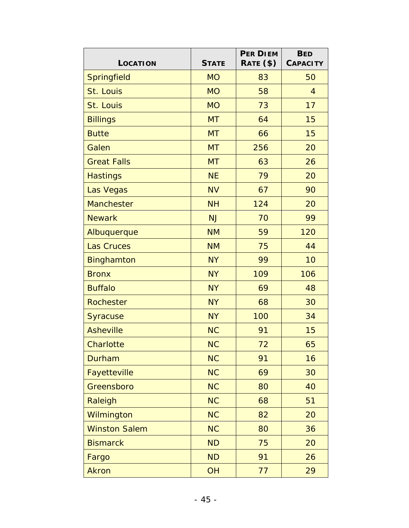| <b>LOCATION</b>      | <b>STATE</b> | <b>PER DIEM</b><br>RATE (\$) | <b>BED</b><br><b>CAPACITY</b> |
|----------------------|--------------|------------------------------|-------------------------------|
| Springfield          | <b>MO</b>    | 83                           | 50                            |
| St. Louis            | <b>MO</b>    | 58                           | $\overline{4}$                |
| St. Louis            | <b>MO</b>    | 73                           | 17                            |
| <b>Billings</b>      | <b>MT</b>    | 64                           | 15                            |
| <b>Butte</b>         | <b>MT</b>    | 66                           | 15                            |
| Galen                | <b>MT</b>    | 256                          | 20                            |
| <b>Great Falls</b>   | <b>MT</b>    | 63                           | 26                            |
| <b>Hastings</b>      | <b>NE</b>    | 79                           | 20                            |
| Las Vegas            | <b>NV</b>    | 67                           | 90                            |
| <b>Manchester</b>    | <b>NH</b>    | 124                          | 20                            |
| <b>Newark</b>        | <b>NJ</b>    | 70                           | 99                            |
| Albuquerque          | <b>NM</b>    | 59                           | 120                           |
| <b>Las Cruces</b>    | <b>NM</b>    | 75                           | 44                            |
| <b>Binghamton</b>    | <b>NY</b>    | 99                           | 10                            |
| <b>Bronx</b>         | <b>NY</b>    | 109                          | 106                           |
| <b>Buffalo</b>       | <b>NY</b>    | 69                           | 48                            |
| Rochester            | <b>NY</b>    | 68                           | 30                            |
| <b>Syracuse</b>      | <b>NY</b>    | 100                          | 34                            |
| <b>Asheville</b>     | <b>NC</b>    | 91                           | 15                            |
| Charlotte            | <b>NC</b>    | 72                           | 65                            |
| Durham               | <b>NC</b>    | 91                           | 16                            |
| Fayetteville         | <b>NC</b>    | 69                           | 30                            |
| Greensboro           | <b>NC</b>    | 80                           | 40                            |
| Raleigh              | <b>NC</b>    | 68                           | 51                            |
| Wilmington           | <b>NC</b>    | 82                           | 20                            |
| <b>Winston Salem</b> | <b>NC</b>    | 80                           | 36                            |
| <b>Bismarck</b>      | <b>ND</b>    | 75                           | 20                            |
| Fargo                | <b>ND</b>    | 91                           | 26                            |
| <b>Akron</b>         | OH           | 77                           | 29                            |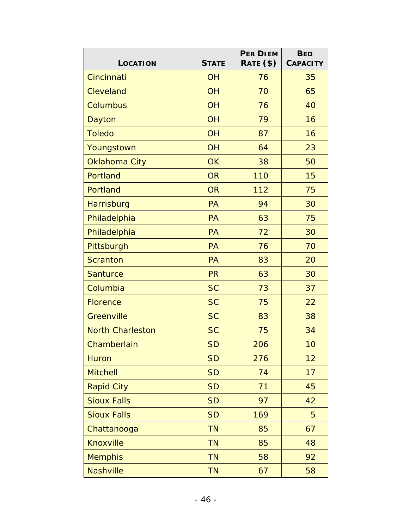| LOCATION                | <b>STATE</b> | <b>PER DIEM</b><br>RATE (\$) | <b>BED</b><br><b>CAPACITY</b> |
|-------------------------|--------------|------------------------------|-------------------------------|
| Cincinnati              | <b>OH</b>    | 76                           | 35                            |
| Cleveland               | <b>OH</b>    | 70                           | 65                            |
| Columbus                | <b>OH</b>    | 76                           | 40                            |
| Dayton                  | <b>OH</b>    | 79                           | 16                            |
| <b>Toledo</b>           | <b>OH</b>    | 87                           | 16                            |
| Youngstown              | <b>OH</b>    | 64                           | 23                            |
| Oklahoma City           | <b>OK</b>    | 38                           | 50                            |
| Portland                | <b>OR</b>    | 110                          | 15                            |
| Portland                | <b>OR</b>    | 112                          | 75                            |
| Harrisburg              | PA           | 94                           | 30                            |
| Philadelphia            | PA           | 63                           | 75                            |
| Philadelphia            | PA           | 72                           | 30                            |
| Pittsburgh              | PA           | 76                           | 70                            |
| <b>Scranton</b>         | PA           | 83                           | 20                            |
| <b>Santurce</b>         | <b>PR</b>    | 63                           | 30                            |
| Columbia                | <b>SC</b>    | 73                           | 37                            |
| <b>Florence</b>         | <b>SC</b>    | 75                           | 22                            |
| Greenville              | <b>SC</b>    | 83                           | 38                            |
| <b>North Charleston</b> | <b>SC</b>    | 75                           | 34                            |
| Chamberlain             | <b>SD</b>    | 206                          | 10                            |
| <b>Huron</b>            | <b>SD</b>    | 276                          | 12                            |
| <b>Mitchell</b>         | <b>SD</b>    | 74                           | 17                            |
| <b>Rapid City</b>       | <b>SD</b>    | 71                           | 45                            |
| <b>Sioux Falls</b>      | <b>SD</b>    | 97                           | 42                            |
| <b>Sioux Falls</b>      | <b>SD</b>    | 169                          | 5                             |
| Chattanooga             | <b>TN</b>    | 85                           | 67                            |
| <b>Knoxville</b>        | <b>TN</b>    | 85                           | 48                            |
| <b>Memphis</b>          | <b>TN</b>    | 58                           | 92                            |
| Nashville               | <b>TN</b>    | 67                           | 58                            |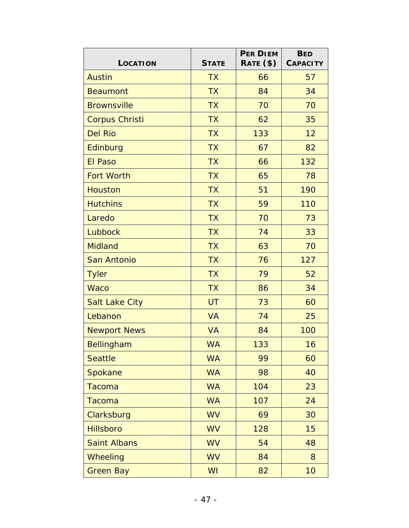| <b>LOCATION</b>       | <b>STATE</b> | <b>PER DIEM</b><br>RATE (\$) | <b>BED</b><br><b>CAPACITY</b> |
|-----------------------|--------------|------------------------------|-------------------------------|
| <b>Austin</b>         | <b>TX</b>    | 66                           | 57                            |
| <b>Beaumont</b>       | <b>TX</b>    | 84                           | 34                            |
| <b>Brownsville</b>    | <b>TX</b>    | 70                           | 70                            |
| <b>Corpus Christi</b> | <b>TX</b>    | 62                           | 35                            |
| <b>Del Rio</b>        | <b>TX</b>    | 133                          | 12                            |
| Edinburg              | <b>TX</b>    | 67                           | 82                            |
| <b>El Paso</b>        | <b>TX</b>    | 66                           | 132                           |
| <b>Fort Worth</b>     | <b>TX</b>    | 65                           | 78                            |
| <b>Houston</b>        | <b>TX</b>    | 51                           | 190                           |
| <b>Hutchins</b>       | <b>TX</b>    | 59                           | 110                           |
| Laredo                | <b>TX</b>    | 70                           | 73                            |
| Lubbock               | <b>TX</b>    | 74                           | 33                            |
| <b>Midland</b>        | <b>TX</b>    | 63                           | 70                            |
| San Antonio           | <b>TX</b>    | 76                           | 127                           |
| <b>Tyler</b>          | <b>TX</b>    | 79                           | 52                            |
| <b>Waco</b>           | <b>TX</b>    | 86                           | 34                            |
| <b>Salt Lake City</b> | <b>UT</b>    | 73                           | 60                            |
| Lebanon               | <b>VA</b>    | 74                           | 25                            |
| <b>Newport News</b>   | <b>VA</b>    | 84                           | 100                           |
| Bellingham            | <b>WA</b>    | 133                          | 16                            |
| <b>Seattle</b>        | <b>WA</b>    | 99                           | 60                            |
| Spokane               | <b>WA</b>    | 98                           | 40                            |
| Tacoma                | <b>WA</b>    | 104                          | 23                            |
| Tacoma                | <b>WA</b>    | 107                          | 24                            |
| Clarksburg            | <b>WV</b>    | 69                           | 30                            |
| <b>Hillsboro</b>      | <b>WV</b>    | 128                          | 15                            |
| <b>Saint Albans</b>   | <b>WV</b>    | 54                           | 48                            |
| Wheeling              | <b>WV</b>    | 84                           | 8                             |
| <b>Green Bay</b>      | WI           | 82                           | 10                            |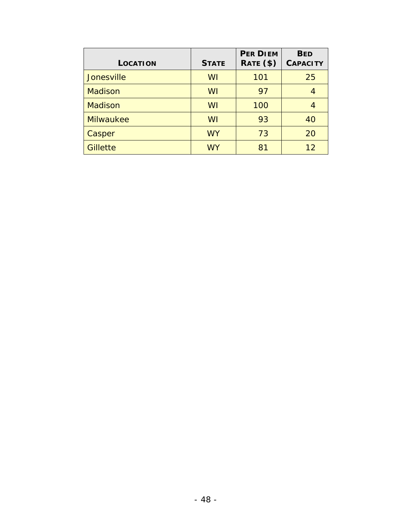| LOCATION         | <b>STATE</b> | <b>PER DIEM</b><br>RATE (\$) | <b>BED</b><br><b>CAPACITY</b> |
|------------------|--------------|------------------------------|-------------------------------|
| Jonesville       | WI           | 101                          | 25                            |
| <b>Madison</b>   | WI           | 97                           |                               |
| <b>Madison</b>   | WI           | 100                          |                               |
| <b>Milwaukee</b> | WI           | 93                           | 40                            |
| Casper           | <b>WY</b>    | 73                           | 20                            |
| <b>Gillette</b>  | <b>WY</b>    | 81                           | 12                            |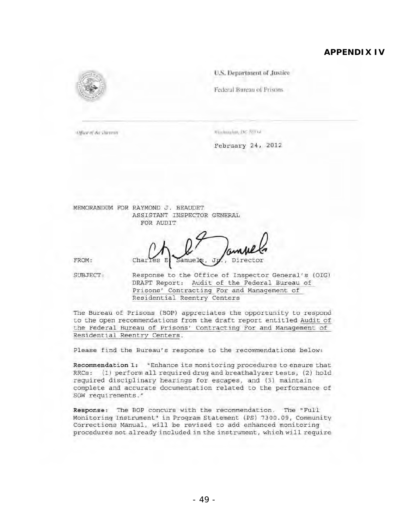#### **APPENDIX IV**



Office of the Direman

Wisshington, D.C. S.Wal-

February 24, 2012

MEMORANDUM FOR RAYMOND J. BEAUDET ASSISTANT INSPECTOR GENERAL FOR AUDIT

FROM;

Director Char es E amuels, Jr SUBJECT: Response to the Office of Inspector General's (OIG)

DRAFT Report: Audit of the Federal Bureau of Prisons' Contracting For and Management of Residential Reentry Centers

The Bureau of Prisons (BOP) appreciates the opportunity to respond to the open recommendations from the draft report entitled Audit of the Federal Bureau of Prisons' Contracting For and Management of Residential Reentry Centers.

Please find the Bureau's response to the recommendations below:

Recommendation 1: "Enhance its monitoring procedures to ensure that RRCs: (l) perform all required drug and breathalyzer tests, (2) hold required disciplinary hearings for escapes, and (3) maintain complete and accurate documentation related to the performance of SOW requirements."

Response: The BOP concurs with the recommendation. The "Full Monitoring Instrument" in Program Statement (PS) 7300.09, Community Corrections Manual , will be revised to add enhanced monitoring procedures not already included in the instrument, which will require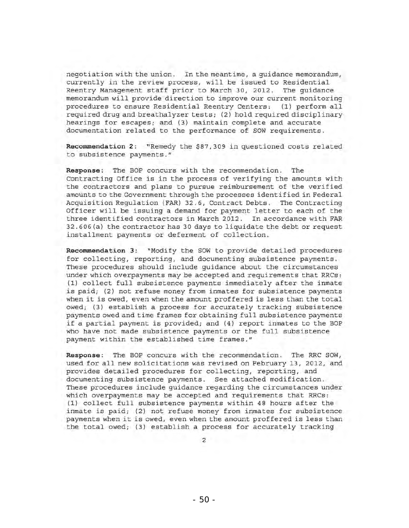negotiation with the union. In the meantime, a guidance memorandum, currently in the review process, will be issued to Residential Reentry Management staff prior to March 30, 2012. The guidance memorandum will provide direction to improve our current monitoring procedures to ensure Residential Reentry Centers: (1) perform all required drug and breathalyzer tests; (2) hold required disciplinary hearings for escapes; and (3) maintain complete and accurate documentation related to the performance of SOW requirements.

Recommendation 2: "Remedy the \$87,309 in questioned costs related to subsistence payments."

Response: The BOP concurs with the recommendation . The contracting Office is in the process of verifying the amounts with the contractors and plans to pursue reimbursement of the verified amounts to the Government through the processes identified in Federal Acquisition Regulation (FAR) 32.6, Contract Debts . The Contracting Officer will be issuing a demand for payment letter to each of the three identified contractors in March 2012. In accordance with FAR 32.606 (a) the contractor has 30 days to liquidate the debt or request installment payments or deferment of collection.

Recommendation 3: "Modify the SOW to provide detailed procedures for collecting, reporting, and documenting subsistence payments . These procedures should include guidance about the circumstances under which overpayments may be accepted and requirements that RRCs : (1) collect full subsistence payments immediately after the inmate is paid; (2) not refuse money from inmates for subsistence payments when it is owed, even when the amount proffered is less than the total owed; (3) establish a process for accurately tracking subsistence payments owed and time frames for obtaining full subsistence payments if a partial payment is provided; and (4) report inmates to the BOP who have not made subsistence payments or the full subsistence payment within the established time frames."

Response: The BOP concurs with the recommendation . The RRC SOW, used for all new solicitations was revised on February 13, 2012, and provides detailed procedures for collecting, reporting, and documenting subsistence payments. See attached modification. These procedures include guidance regarding the circumstances under which overpayments may be accepted and requirements that RRCs: (1) collect full subsistence payments within 48 hours after the inmate is paid; (2) not refuse money from inmates for subsistence payments when it is owed, even when the amount proffered is less than the total owed; (3) establish a process for accurately tracking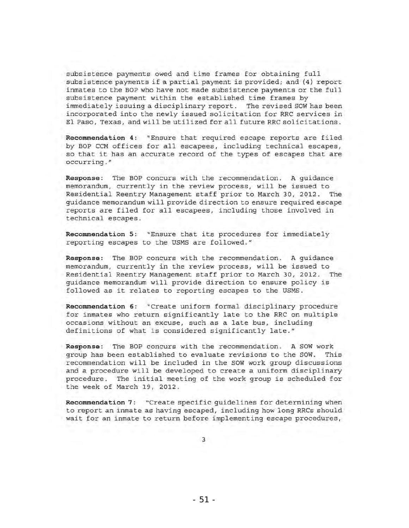subsistence payments owed and time frames for obtaining full subsistence payments if a partial payment is provided; and (4) report inmates to the BOP who have not made subsistence payments or the full subsistence payment within the established time frames by immediately issuing a disciplinary report. The revised SOW has been incorporated into the newly issued solicitation for RRC services in El Paso, Texas, and will be utilized for all future RRC solicitations.

Recommendation 4: "Ensure that required escape reports are filed by BOP CCM offices for all escapees, including technical escapes, so that it has an accurate record of the types of escapes that are occurring."

Response: The BOP concurs with the recommendation. A quidance memorandum, currently in the review process, will be issued to Residential Reentry Management staff prior to March 30, 2012. The guidance memorandum will provide direction to ensure required escape reports are filed for all escapees, including those involved in technical escapes.

Recommendation 5: "Ensure that its procedures for immediately reporting escapes to the USMS are followed . "

Response: The BOP concurs with the recommendation. A guidance memorandum, currently in the review process, will be issued to Residential Reentry Management staff prior to March 30, 2012. The guidance memorandum will provide direction to ensure policy is followed as it relates to reporting escapes to the USMS.

Recommendation 6: "Create uniform formal disciplinary procedure for inmates who return significantly late to the RRC on multiple occasions without an excuse, such as a late bus, including definitions of what is considered significantly late . "

Response: The BOP concurs with the recommendation. A SOW work group has been established to evaluate revisions to the SOW. This recommendation will be included in the SOW work group discussions and a procedure will be developed to create a uniform disciplinary procedure . The initial meeting of the work group is scheduled for the week of March 19, 2012.

Recommendation 7: "Create specific guidelines for determining when to report an inmate as having escaped, including how long RRCs should wait for an inmate to return before implementing escape procedures,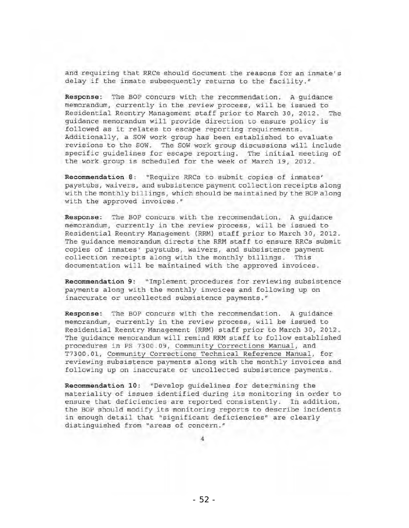and requiring that RRCs should document the reasons for an inmate's delay if the inmate subsequently returns to the facility."

Response: The BOP concurs with the recommendation. A quidance memorandum, currently in the review process, will be issued to Residential Reentry Management staff prior to March 30, 2012. The guidance memorandum will provide direction to ensure policy is followed as it relates to escape reporting requirements. Additionally, a SOW work group has been established to evaluate revisions to the SOW. The SOW work group discussions will include specific guidelines for escape reporting. The initial meeting of the work group is scheduled for the week of March 19, 2012.

Recommendation 8: "Require RRCs to submit copies of inmates' paystuhs, waivers, and subsistence payment collection receipts along with the monthly billings, which should be maintained by the BOP along with the approved invoices."

Response: The BOP concurs with the recommendation. A guidance memorandum, currently in the review process, will be issued to Residential Reentry Management (RRM) staff prior to March 30, 2012. The guidance memorandum directs the RRM staff to ensure RRCs submit copies of inmates' paystubs, waivers, and subsistence payment collection receipts along with the monthly billings. This documentation will be maintained with the approved invoices.

Recommendation 9: "Implement procedures for reviewing subsistence payments along with the monthly invoices and following up on inaccurate or uncollected subsistence payments."

Response: The BOP concurs with the recommendation. A quidance memorandum, currently in the review process, will be issued to Residential Reentry Management (RRM) staff prior to March 30, 2012. The guidance memorandum will remind RRM staff to follow established procedures in PS 7300.09, Community Corrections Manual, and T7300.01, Community Corrections Technical Reference Manual, for reviewing subsistence payments along with the monthly invoices and following up on inaccurate or uncollected subsistence payments.

Recommendation 10: "Develop guidelines for determining the materiality of issues identified during its monitoring in order to ensure that deficiencies are reported consistently. In addition, the BOP should modify its monitoring reports to describe incidents in enough detail that "significant deficiencies" are clearly distinguished from "areas of concern."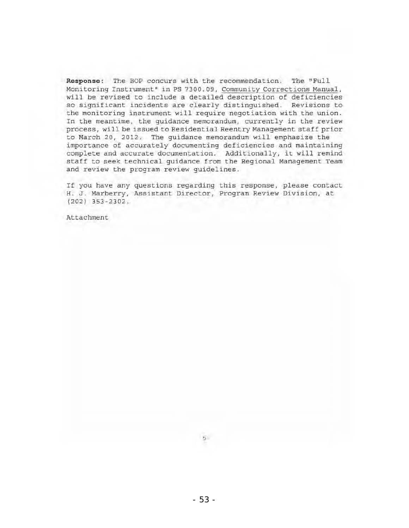Response: The BOP concurs with the recommendation. The "Full Monitoring Instrument" in PS 7300.09, Community Corrections Manual, will be revised to include a detailed description of deficiencies so significant incidents are clearly distinguished . Revisions to the monitoring instrument will require negotiation with the union. In the meantime, the guidance memorandum, currently in the review process, will be issued to Residential Reentry Management staff prior to March 20, 2012. The guidance memorandum will emphasize the importance of accurately documenting deficiencies and maintaining complete and accurate documentation. Additionally, it will remind staff to seek technical guidance from the Regional Management Team and review the program review guidelines.

If you have any questions regarding this response, please contact H. J. Marberry, Assistant Director, Program Review Division, at (202) 353-2302.

Attachment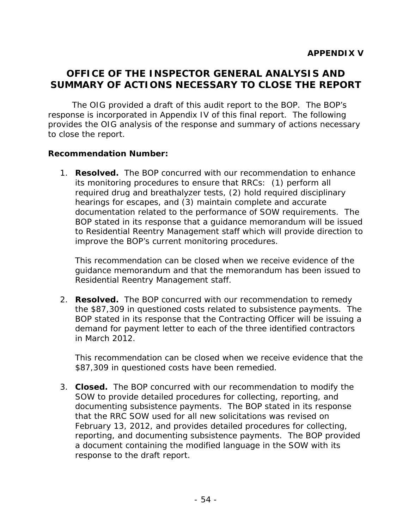# **OFFICE OF THE INSPECTOR GENERAL ANALYSIS AND SUMMARY OF ACTIONS NECESSARY TO CLOSE THE REPORT**

The OIG provided a draft of this audit report to the BOP. The BOP's response is incorporated in Appendix IV of this final report. The following provides the OIG analysis of the response and summary of actions necessary to close the report.

## **Recommendation Number:**

1. **Resolved.** The BOP concurred with our recommendation to enhance its monitoring procedures to ensure that RRCs: (1) perform all required drug and breathalyzer tests, (2) hold required disciplinary hearings for escapes, and (3) maintain complete and accurate documentation related to the performance of SOW requirements. The BOP stated in its response that a guidance memorandum will be issued to Residential Reentry Management staff which will provide direction to improve the BOP's current monitoring procedures.

This recommendation can be closed when we receive evidence of the guidance memorandum and that the memorandum has been issued to Residential Reentry Management staff.

2. Resolved. The BOP concurred with our recommendation to remedy the \$87,309 in questioned costs related to subsistence payments. The BOP stated in its response that the Contracting Officer will be issuing a demand for payment letter to each of the three identified contractors in March 2012.

This recommendation can be closed when we receive evidence that the \$87,309 in questioned costs have been remedied.

3. **Closed.** The BOP concurred with our recommendation to modify the SOW to provide detailed procedures for collecting, reporting, and documenting subsistence payments. The BOP stated in its response that the RRC SOW used for all new solicitations was revised on February 13, 2012, and provides detailed procedures for collecting, reporting, and documenting subsistence payments. The BOP provided a document containing the modified language in the SOW with its response to the draft report.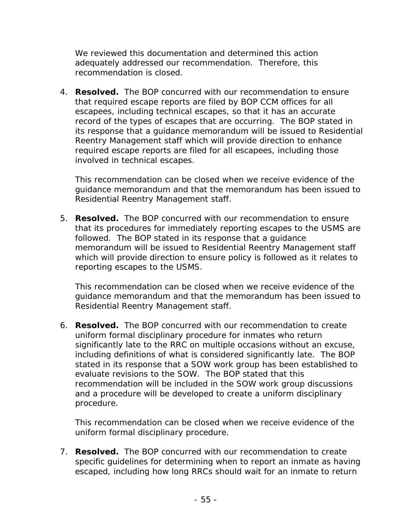We reviewed this documentation and determined this action adequately addressed our recommendation. Therefore, this recommendation is closed.

4. **Resolved.** The BOP concurred with our recommendation to ensure that required escape reports are filed by BOP CCM offices for all escapees, including technical escapes, so that it has an accurate record of the types of escapes that are occurring. The BOP stated in its response that a guidance memorandum will be issued to Residential Reentry Management staff which will provide direction to enhance required escape reports are filed for all escapees, including those involved in technical escapes.

This recommendation can be closed when we receive evidence of the guidance memorandum and that the memorandum has been issued to Residential Reentry Management staff.

5. **Resolved.** The BOP concurred with our recommendation to ensure that its procedures for immediately reporting escapes to the USMS are followed. The BOP stated in its response that a guidance memorandum will be issued to Residential Reentry Management staff which will provide direction to ensure policy is followed as it relates to reporting escapes to the USMS.

This recommendation can be closed when we receive evidence of the guidance memorandum and that the memorandum has been issued to Residential Reentry Management staff.

6. **Resolved.** The BOP concurred with our recommendation to create uniform formal disciplinary procedure for inmates who return significantly late to the RRC on multiple occasions without an excuse, including definitions of what is considered significantly late. The BOP stated in its response that a SOW work group has been established to evaluate revisions to the SOW. The BOP stated that this recommendation will be included in the SOW work group discussions and a procedure will be developed to create a uniform disciplinary procedure.

This recommendation can be closed when we receive evidence of the uniform formal disciplinary procedure.

7. **Resolved.** The BOP concurred with our recommendation to create specific guidelines for determining when to report an inmate as having escaped, including how long RRCs should wait for an inmate to return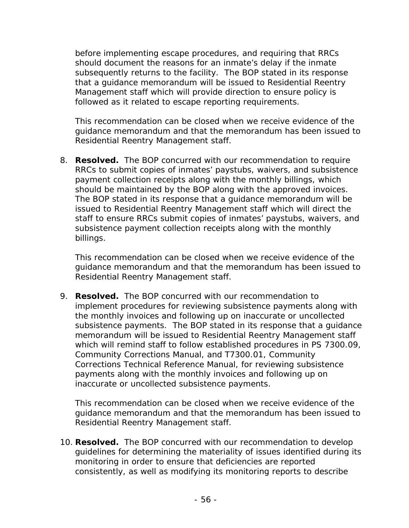before implementing escape procedures, and requiring that RRCs should document the reasons for an inmate's delay if the inmate subsequently returns to the facility. The BOP stated in its response that a guidance memorandum will be issued to Residential Reentry Management staff which will provide direction to ensure policy is followed as it related to escape reporting requirements.

This recommendation can be closed when we receive evidence of the guidance memorandum and that the memorandum has been issued to Residential Reentry Management staff.

8. **Resolved.** The BOP concurred with our recommendation to require RRCs to submit copies of inmates' paystubs, waivers, and subsistence payment collection receipts along with the monthly billings, which should be maintained by the BOP along with the approved invoices. The BOP stated in its response that a guidance memorandum will be issued to Residential Reentry Management staff which will direct the staff to ensure RRCs submit copies of inmates' paystubs, waivers, and subsistence payment collection receipts along with the monthly billings.

This recommendation can be closed when we receive evidence of the guidance memorandum and that the memorandum has been issued to Residential Reentry Management staff.

9. **Resolved.** The BOP concurred with our recommendation to implement procedures for reviewing subsistence payments along with the monthly invoices and following up on inaccurate or uncollected subsistence payments. The BOP stated in its response that a guidance memorandum will be issued to Residential Reentry Management staff which will remind staff to follow established procedures in PS 7300.09, Community Corrections Manual, and T7300.01, Community Corrections Technical Reference Manual, for reviewing subsistence payments along with the monthly invoices and following up on inaccurate or uncollected subsistence payments.

This recommendation can be closed when we receive evidence of the guidance memorandum and that the memorandum has been issued to Residential Reentry Management staff.

10. **Resolved.** The BOP concurred with our recommendation to develop guidelines for determining the materiality of issues identified during its monitoring in order to ensure that deficiencies are reported consistently, as well as modifying its monitoring reports to describe